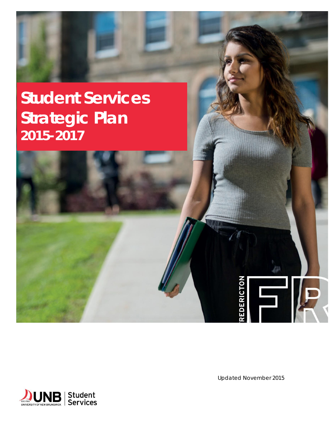

**EDERICTON** 

Fil

 $\sqrt{2}$ 

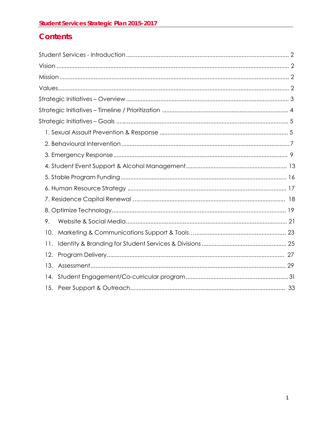## **Contents**

| 9.  |  |
|-----|--|
| 10. |  |
| 11. |  |
| 12. |  |
| 13. |  |
| 14. |  |
| 15. |  |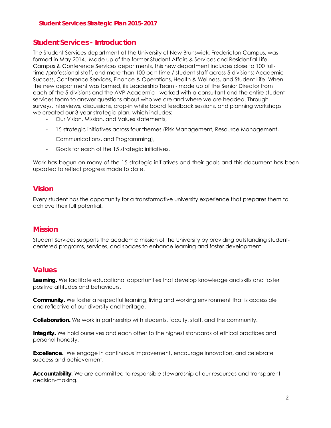### <span id="page-2-0"></span>**Student Services - Introduction**

The Student Services department at the University of New Brunswick, Fredericton Campus, was formed in May 2014. Made up of the former Student Affairs & Services and Residential Life, Campus & Conference Services departments, this new department includes close to 100 fulltime /professional staff, and more than 100 part-time / student staff across 5 divisions: Academic Success, Conference Services, Finance & Operations, Health & Wellness, and Student Life. When the new department was formed, its Leadership Team - made up of the Senior Director from each of the 5 divisions and the AVP Academic - worked with a consultant and the entire student services team to answer questions about who we are and where we are headed. Through surveys, interviews, discussions, drop-in white board feedback sessions, and planning workshops we created our 3-year strategic plan, which includes:

- Our Vision, Mission, and Values statements,
- 15 strategic initiatives across four themes (Risk Management, Resource Management,

Communications, and Programming),

- Goals for each of the 15 strategic initiatives.

Work has begun on many of the 15 strategic initiatives and their goals and this document has been updated to reflect progress made to date.

### **Vision**

Every student has the opportunity for a transformative university experience that prepares them to achieve their full potential.

### **Mission**

Student Services supports the academic mission of the University by providing outstanding studentcentered programs, services, and spaces to enhance learning and foster development.

### **Values**

**Learning.** We facilitate educational opportunities that develop knowledge and skills and foster positive attitudes and behaviours.

**Community.** We foster a respectful learning, living and working environment that is accessible and reflective of our diversity and heritage.

**Collaboration.** We work in partnership with students, faculty, staff, and the community.

**Integrity.** We hold ourselves and each other to the highest standards of ethical practices and personal honesty.

**Excellence.** We engage in continuous improvement, encourage innovation, and celebrate success and achievement.

**Accountability**. We are committed to responsible stewardship of our resources and transparent decision-making.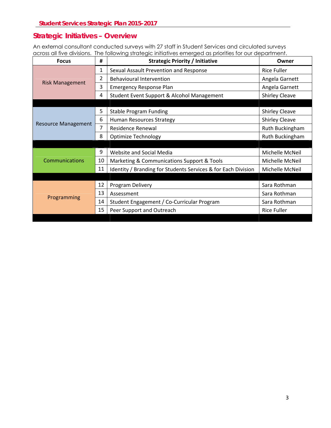### <span id="page-3-0"></span>**Strategic Initiatives – Overview**

An external consultant conducted surveys with 27 staff in Student Services and circulated surveys across all five divisions. The following strategic initiatives emerged as priorities for our department.

| <b>Focus</b>               | #  | <b>Strategic Priority / Initiative</b>                        | Owner                 |
|----------------------------|----|---------------------------------------------------------------|-----------------------|
|                            | 1  | Sexual Assault Prevention and Response                        | <b>Rice Fuller</b>    |
| <b>Risk Management</b>     | 2  | <b>Behavioural Intervention</b>                               | Angela Garnett        |
|                            | 3  | <b>Emergency Response Plan</b>                                | Angela Garnett        |
|                            | 4  | Student Event Support & Alcohol Management                    | <b>Shirley Cleave</b> |
|                            |    |                                                               |                       |
|                            | 5  | <b>Stable Program Funding</b>                                 | <b>Shirley Cleave</b> |
| <b>Resource Management</b> | 6  | Human Resources Strategy                                      | <b>Shirley Cleave</b> |
|                            | 7  | Residence Renewal                                             | Ruth Buckingham       |
|                            | 8  | <b>Optimize Technology</b>                                    | Ruth Buckingham       |
|                            |    |                                                               |                       |
|                            | 9  | Website and Social Media                                      | Michelle McNeil       |
| <b>Communications</b>      | 10 | Marketing & Communications Support & Tools                    | Michelle McNeil       |
|                            | 11 | Identity / Branding for Students Services & for Each Division | Michelle McNeil       |
|                            |    |                                                               |                       |
|                            | 12 | Program Delivery                                              | Sara Rothman          |
|                            | 13 | Assessment                                                    | Sara Rothman          |
| Programming                | 14 | Student Engagement / Co-Curricular Program                    | Sara Rothman          |
|                            | 15 | Peer Support and Outreach                                     | <b>Rice Fuller</b>    |
|                            |    |                                                               |                       |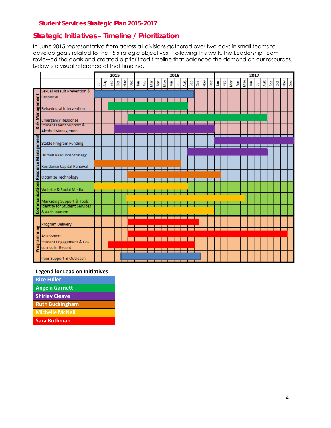### <span id="page-4-0"></span>**Strategic Initiatives – Timeline / Prioritization**

In June 2015 representative from across all divisions gathered over two days in small teams to develop goals related to the 15 strategic objectives. Following this work, the Leadership Team reviewed the goals and created a prioritized timeline that balanced the demand on our resources. Below is a visual reference of that timeline.

|                        |                                                                 |   | 2015<br>2016 |     |   |             |     |     | 2017 |     |   |     |   |   |   |     |   |                      |     |   |            |     |   |     |    |   |     |          |   |               |     |
|------------------------|-----------------------------------------------------------------|---|--------------|-----|---|-------------|-----|-----|------|-----|---|-----|---|---|---|-----|---|----------------------|-----|---|------------|-----|---|-----|----|---|-----|----------|---|---------------|-----|
|                        |                                                                 | 혹 | Aug          | Sep | ğ | $\tilde{e}$ | Dec | Jan | 운    | Nar | ğ | VeM | 틫 | 国 | ዿ | Sep | ğ | $\tilde{\mathsf{S}}$ | Dec | 高 | <b>feb</b> | Nar | ğ | ΛēΜ | å, | Ę | Aug | <b>G</b> | ð | $\frac{5}{2}$ | Dec |
|                        | Sexual Assault Prevention &                                     |   |              |     |   |             |     |     |      |     |   |     |   |   |   |     |   |                      |     |   |            |     |   |     |    |   |     |          |   |               |     |
|                        | Response                                                        |   |              |     |   |             |     |     |      |     |   |     |   |   |   |     |   |                      |     |   |            |     |   |     |    |   |     |          |   |               |     |
|                        | <b>Behavioural Intervention</b>                                 |   |              |     |   |             |     |     |      |     |   |     |   |   |   |     |   |                      |     |   |            |     |   |     |    |   |     |          |   |               |     |
| <b>Risk Management</b> | <b>Emergency Response</b>                                       |   |              |     |   |             |     |     |      |     |   |     |   |   |   |     |   |                      |     |   |            |     |   |     |    |   |     |          |   |               |     |
|                        | <b>Student Event Support &amp;</b><br><b>Alcohol Management</b> |   |              |     |   |             |     |     |      |     |   |     |   |   |   |     |   |                      |     |   |            |     |   |     |    |   |     |          |   |               |     |
|                        | <b>Stable Program Funding</b>                                   |   |              |     |   |             |     |     |      |     |   |     |   |   |   |     |   |                      |     |   |            |     |   |     |    |   |     |          |   |               |     |
|                        | Human Resource Strategy                                         |   |              |     |   |             |     |     |      |     |   |     |   |   |   |     |   |                      |     |   |            |     |   |     |    |   |     |          |   |               |     |
| Resource Management    | Residence Capital Renewal                                       |   |              |     |   |             |     |     |      |     |   |     |   |   |   |     |   |                      |     |   |            |     |   |     |    |   |     |          |   |               |     |
|                        | Optimize Technology                                             |   |              |     |   |             |     |     |      |     |   |     |   |   |   |     |   |                      |     |   |            |     |   |     |    |   |     |          |   |               |     |
|                        | Website & Social Media                                          |   |              |     |   |             |     |     |      |     |   |     |   |   |   |     |   |                      |     |   |            |     |   |     |    |   |     |          |   |               |     |
| Communications         | Marketing Support & Tools                                       |   |              |     |   |             |     |     |      |     |   |     |   |   |   |     |   |                      |     |   |            |     |   |     |    |   |     |          |   |               |     |
|                        | <b>Identity for Student Services</b><br>& each Division         |   |              |     |   |             |     |     |      |     |   |     |   |   |   |     |   |                      |     |   |            |     |   |     |    |   |     |          |   |               |     |
|                        | Program Delivery                                                |   |              |     |   |             |     |     |      |     |   |     |   |   |   |     |   |                      |     |   |            |     |   |     |    |   |     |          |   |               |     |
|                        | Assessment                                                      |   |              |     |   |             |     |     |      |     |   |     |   |   |   |     |   |                      |     |   |            |     |   |     |    |   |     |          |   |               |     |
| Programming            | Student Engagement & Co-<br>curricular Record                   |   |              |     |   |             |     |     |      |     |   |     |   |   |   |     |   |                      |     |   |            |     |   |     |    |   |     |          |   |               |     |
|                        | Peer Support & Outreach                                         |   |              |     |   |             |     |     |      |     |   |     |   |   |   |     |   |                      |     |   |            |     |   |     |    |   |     |          |   |               |     |

| <b>Legend for Lead on Initiatives</b> |
|---------------------------------------|
| <b>Rice Fuller</b>                    |
| <b>Angela Garnett</b>                 |
| <b>Shirley Cleave</b>                 |
| <b>Ruth Buckingham</b>                |

**Michelle McNeil**

**Sara Rothman**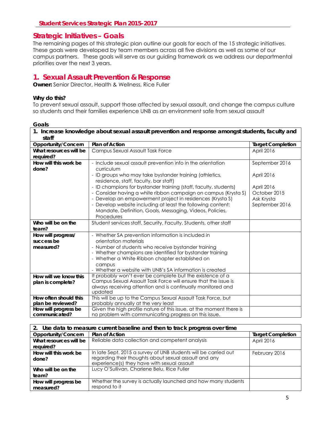### <span id="page-5-0"></span>**Strategic Initiatives – Goals**

The remaining pages of this strategic plan outline our goals for each of the 15 strategic initiatives. These goals were developed by team members across all five divisions as well as some of our campus partners. These goals will serve as our guiding framework as we address our departmental priorities over the next 3 years.

### **1. Sexual Assault Prevention & Response**

**Owner:** Senior Director, Health & Wellness, Rice Fuller

#### **Why do this?**

To prevent sexual assault, support those affected by sexual assault, and change the campus culture so students and their families experience UNB as an environment safe from sexual assault

| 1. Increase knowledge about sexual assault prevention and response amongst students, faculty and |                                                                                                                             |                          |  |  |  |  |  |
|--------------------------------------------------------------------------------------------------|-----------------------------------------------------------------------------------------------------------------------------|--------------------------|--|--|--|--|--|
| staff                                                                                            |                                                                                                                             |                          |  |  |  |  |  |
| Opportunity/Concern                                                                              | <b>Plan of Action</b>                                                                                                       | <b>Target Completion</b> |  |  |  |  |  |
| What resources will be                                                                           | Campus Sexual Assault Task Force                                                                                            | April 2016               |  |  |  |  |  |
| required?                                                                                        |                                                                                                                             |                          |  |  |  |  |  |
| How will this work be                                                                            | - Include sexual assault prevention info in the orientation                                                                 | September 2016           |  |  |  |  |  |
| done?                                                                                            | curriculum                                                                                                                  |                          |  |  |  |  |  |
|                                                                                                  | - ID groups who may take bystander training (athletics,                                                                     | April 2016               |  |  |  |  |  |
|                                                                                                  | residence, staff, faculty, bar staff)                                                                                       |                          |  |  |  |  |  |
|                                                                                                  | - ID champions for bystander training (staff, faculty, students)                                                            | April 2016               |  |  |  |  |  |
|                                                                                                  | - Consider having a white ribbon campaign on campus (Krysta S)                                                              | October 2015             |  |  |  |  |  |
|                                                                                                  | - Develop an empowerment project in residences (Krysta S)                                                                   | Ask Krysta               |  |  |  |  |  |
|                                                                                                  | - Develop website including at least the following content:                                                                 | September 2016           |  |  |  |  |  |
|                                                                                                  | Mandate, Definition, Goals, Messaging, Videos, Policies,                                                                    |                          |  |  |  |  |  |
|                                                                                                  | Procedures                                                                                                                  |                          |  |  |  |  |  |
| Who will be on the                                                                               | Student services staff, Security, Faculty, Students, other staff                                                            |                          |  |  |  |  |  |
| team?                                                                                            |                                                                                                                             |                          |  |  |  |  |  |
| How will progress/                                                                               | - Whether SA prevention information is included in                                                                          |                          |  |  |  |  |  |
| success be                                                                                       | orientation materials                                                                                                       |                          |  |  |  |  |  |
| measured?                                                                                        | - Number of students who receive bystander training                                                                         |                          |  |  |  |  |  |
|                                                                                                  | - Whether champions are identified for bystander training                                                                   |                          |  |  |  |  |  |
|                                                                                                  | - Whether a White Ribbon chapter established on                                                                             |                          |  |  |  |  |  |
|                                                                                                  | campus                                                                                                                      |                          |  |  |  |  |  |
|                                                                                                  | - Whether a website with UNB's SA information is created                                                                    |                          |  |  |  |  |  |
| How will we know this                                                                            | It probably won't ever be complete but the existence of a<br>Campus Sexual Assault Task Force will ensure that the issue is |                          |  |  |  |  |  |
| plan is complete?                                                                                | always receiving attention and is continually monitored and                                                                 |                          |  |  |  |  |  |
|                                                                                                  | updated                                                                                                                     |                          |  |  |  |  |  |
| How often should this                                                                            | This will be up to the Campus Sexual Assault Task Force, but                                                                |                          |  |  |  |  |  |
| plan be reviewed?                                                                                | probably annually at the very least                                                                                         |                          |  |  |  |  |  |
| How will progress be                                                                             | Given the high profile nature of this issue, at the moment there is                                                         |                          |  |  |  |  |  |
| communicated?                                                                                    | no problem with communicating progress on this issue.                                                                       |                          |  |  |  |  |  |

| 2. Use data to measure current baseline and then to track progress over time |                                                                 |                          |  |  |  |  |
|------------------------------------------------------------------------------|-----------------------------------------------------------------|--------------------------|--|--|--|--|
| Opportunity/Concern                                                          | Plan of Action                                                  | <b>Target Completion</b> |  |  |  |  |
| What resources will be                                                       | Reliable data collection and competent analysis                 | April 2016               |  |  |  |  |
| required?                                                                    |                                                                 |                          |  |  |  |  |
| How will this work be                                                        | In late Sept. 2015 a survey of UNB students will be carried out | February 2016            |  |  |  |  |
| done?                                                                        | regarding their thoughts about sexual assault and any           |                          |  |  |  |  |
|                                                                              | experience(s) they have with sexual assault                     |                          |  |  |  |  |
| Who will be on the                                                           | Lucy O'Sullivan, Charlene Belu, Rice Fuller                     |                          |  |  |  |  |
| team?                                                                        |                                                                 |                          |  |  |  |  |
| How will progress be                                                         | Whether the survey is actually launched and how many students   |                          |  |  |  |  |
| measured?                                                                    | respond to it                                                   |                          |  |  |  |  |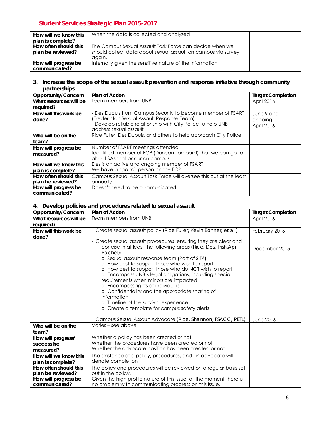| How will we know this | When the data is collected and analyzed                       |  |
|-----------------------|---------------------------------------------------------------|--|
| plan is complete?     |                                                               |  |
| How often should this | The Campus Sexual Assault Task Force can decide when we       |  |
| plan be reviewed?     | should collect data about sexual assault on campus via survey |  |
|                       | again.                                                        |  |
| How will progress be  | Internally given the sensitive nature of the information      |  |
| communicated?         |                                                               |  |

#### **3. Increase the scope of the sexual assault prevention and response initiative through community partnerships Opportunity/Concern** Plan of Action **Target Completion Target Completion What resources will be required?**  Team members from UNB April 2016 **How will this work be done?**  - Des Dupuis from Campus Security to become member of FSART (Fredericton Sexual Assault Response Team). - Develop reliable relationship with City Police to help UNB address sexual assault June 9 and ongoing April 2016 **Who will be on the team?**  Rice Fuller, Des Dupuis, and others to help approach City Police **How will progress be measured?**  Number of FSART meetings attended Identified member of FCP (Duncan Lombard) that we can go to about SAs that occur on campus **How will we know this plan is complete?**  Des is an active and ongoing member of FSART We have a "go to" person on the FCP **How often should this plan be reviewed?**  Campus Sexual Assault Task Force will oversee this but at the least annually **How will progress be communicated?**  Doesn't need to be communicated

| 4. Develop policies and procedures related to sexual assault |                                                                                                                                                                                                                                                                                                                                                                                                                                                                                                                                                                                                                 |                          |  |  |  |  |  |  |
|--------------------------------------------------------------|-----------------------------------------------------------------------------------------------------------------------------------------------------------------------------------------------------------------------------------------------------------------------------------------------------------------------------------------------------------------------------------------------------------------------------------------------------------------------------------------------------------------------------------------------------------------------------------------------------------------|--------------------------|--|--|--|--|--|--|
| Opportunity/Concern                                          | <b>Plan of Action</b>                                                                                                                                                                                                                                                                                                                                                                                                                                                                                                                                                                                           | <b>Target Completion</b> |  |  |  |  |  |  |
| What resources will be                                       | Team members from UNB                                                                                                                                                                                                                                                                                                                                                                                                                                                                                                                                                                                           | April 2016               |  |  |  |  |  |  |
| required?                                                    |                                                                                                                                                                                                                                                                                                                                                                                                                                                                                                                                                                                                                 |                          |  |  |  |  |  |  |
| How will this work be                                        | - Create sexual assault policy (Rice Fuller, Kevin Bonner, et al.)                                                                                                                                                                                                                                                                                                                                                                                                                                                                                                                                              | February 2016            |  |  |  |  |  |  |
| done?                                                        |                                                                                                                                                                                                                                                                                                                                                                                                                                                                                                                                                                                                                 |                          |  |  |  |  |  |  |
|                                                              | - Create sexual assault procedures ensuring they are clear and<br>concise in at least the following areas (Rice, Des, Trish, April,<br>Rachel):<br>o Sexual assault response team (Part of SIT?)<br>o How best to support those who wish to report<br>o How best to support those who do NOT wish to report<br>o Encompass UNB's legal obligations, including special<br>requirements when minors are impacted<br>o Encompass rights of individuals<br>o Confidentiality and the appropriate sharing of<br>information<br>o Timeline of the survivor experience<br>o Create a template for campus safety alerts | December 2015            |  |  |  |  |  |  |
|                                                              | - Campus Sexual Assault Advocate (Rice, Shannon, FSACC, PETL)                                                                                                                                                                                                                                                                                                                                                                                                                                                                                                                                                   | June 2016                |  |  |  |  |  |  |
| Who will be on the<br>team?                                  | Varies – see above                                                                                                                                                                                                                                                                                                                                                                                                                                                                                                                                                                                              |                          |  |  |  |  |  |  |
| How will progress/<br>success be                             | Whether a policy has been created or not<br>Whether the procedures have been created or not<br>Whether the advocate position has been created or not                                                                                                                                                                                                                                                                                                                                                                                                                                                            |                          |  |  |  |  |  |  |
| measured?                                                    |                                                                                                                                                                                                                                                                                                                                                                                                                                                                                                                                                                                                                 |                          |  |  |  |  |  |  |
| How will we know this                                        | The existence of a policy, procedures, and an advocate will<br>denote completion                                                                                                                                                                                                                                                                                                                                                                                                                                                                                                                                |                          |  |  |  |  |  |  |
| plan is complete?<br>How often should this                   | The policy and procedures will be reviewed on a regular basis set                                                                                                                                                                                                                                                                                                                                                                                                                                                                                                                                               |                          |  |  |  |  |  |  |
| plan be reviewed?                                            | out in the policy.                                                                                                                                                                                                                                                                                                                                                                                                                                                                                                                                                                                              |                          |  |  |  |  |  |  |
| How will progress be                                         | Given the high profile nature of this issue, at the moment there is                                                                                                                                                                                                                                                                                                                                                                                                                                                                                                                                             |                          |  |  |  |  |  |  |
| communicated?                                                | no problem with communicating progress on this issue.                                                                                                                                                                                                                                                                                                                                                                                                                                                                                                                                                           |                          |  |  |  |  |  |  |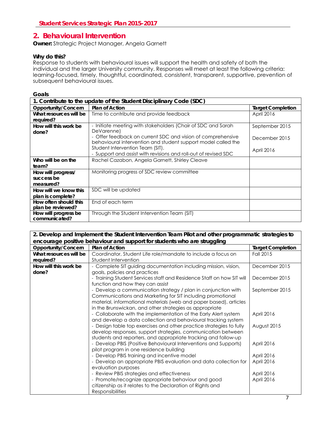### <span id="page-7-0"></span>**2***.* **Behavioural Intervention**

**Owner:** Strategic Project Manager, Angela Garnett

#### **Why do this?**

Response to students with behavioural issues will support the health and safety of both the individual and the larger University community. Responses will meet at least the following criteria: learning-focused, timely, thoughtful, coordinated, consistent, transparent, supportive, prevention of subsequent behavioural issues.

#### **Goals**

| 1. Contribute to the update of the Student Disciplinary Code (SDC) |                                                                                                                              |                          |  |  |  |  |  |
|--------------------------------------------------------------------|------------------------------------------------------------------------------------------------------------------------------|--------------------------|--|--|--|--|--|
| Opportunity/Concern                                                | <b>Plan of Action</b>                                                                                                        | <b>Target Completion</b> |  |  |  |  |  |
| What resources will be<br>required?                                | Time to contribute and provide feedback                                                                                      | April 2016               |  |  |  |  |  |
| How will this work be<br>done?                                     | - Initiate meeting with stakeholders (Chair of SDC and Sarah<br>DeVarenne)                                                   | September 2015           |  |  |  |  |  |
|                                                                    | - Offer feedback on current SDC and vision of comprehensive<br>behavioural intervention and student support model called the | December 2015            |  |  |  |  |  |
|                                                                    | Student Intervention Team (SIT).<br>- Support and assist with revisions and roll-out of revised SDC                          | April 2016               |  |  |  |  |  |
| Who will be on the<br>team?                                        | Rachel Cazabon, Angela Garnett, Shirley Cleave                                                                               |                          |  |  |  |  |  |
| How will progress/<br>success be<br>measured?                      | Monitoring progress of SDC review committee                                                                                  |                          |  |  |  |  |  |
| How will we know this<br>plan is complete?                         | SDC will be updated                                                                                                          |                          |  |  |  |  |  |
| How often should this<br>plan be reviewed?                         | End of each term                                                                                                             |                          |  |  |  |  |  |
| How will progress be<br>communicated?                              | Through the Student Intervention Team (SIT)                                                                                  |                          |  |  |  |  |  |

#### **2. Develop and Implement the Student Intervention Team Pilot and other programmatic strategies to encourage positive behaviour and support for students who are struggling Opportunity/Concern Plan of Action Target Completion 3 and 2 and 3 and 3 and 3 and 3 and 3 and 3 and 3 and 3 and 3 and 3 and 3 and 3 and 3 and 3 and 3 and 3 and 3 and 3 and 3 and 3 and 3 and 3 and 3 and 3 and 3 and 3 and What resources will be required?**  Coordinator, Student Life role/mandate to include a focus on Student Intervention Fall 2015 **How will this work be done?**  ‐ Complete SIT guiding documentation including mission, vision, goals, policies and practices ‐ Training Student Services staff and Residence Staff on how SIT will function and how they can assist ‐ Develop a communication strategy / plan in conjunction with Communications and Marketing for SIT including promotional material, informational materials (web and paper based), articles in the Brunswickan, and other strategies as appropriate ‐ Collaborate with the implementation of the Early Alert system and develop a data collection and behavioural tracking system ‐ Design table top exercises and other practice strategies to fully develop responses, support strategies, communication between students and reporters, and appropriate tracking and follow-up ‐ Develop PBIS (Positive Behavioural Interventions and Supports) pilot program in one residence building ‐ Develop PBIS training and incentive model ‐ Develop an appropriate PBIS evaluation and data collection for evaluation purposes ‐ Review PBIS strategies and effectiveness ‐ Promote/recognize appropriate behaviour and good citizenship as it relates to the Declaration of Rights and **Responsibilities** December 2015 December 2015 September 2015 April 2016 August 2015 April 2016 April 2016 April 2016 April 2016 April 2016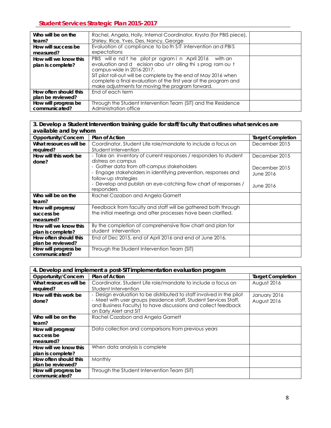| Who will be on the    | Rachel, Angela, Holly, Internal Coordinator, Krysta (for PBIS piece), |  |
|-----------------------|-----------------------------------------------------------------------|--|
| team?                 | Shirley, Rice, Yves, Des, Nancy, George                               |  |
| How will success be   | Evaluation of compliance to both SIT intervention and PBIS            |  |
| measured?             | expectations                                                          |  |
| How will we know this | PBIS will e nd t he pilot pr ogram in April 2016 with an              |  |
| plan is complete?     | evaluation and d ecision about rolling this program out               |  |
|                       | campus-wide in 2016-2017.                                             |  |
|                       | SIT pilot roll-out will be complete by the end of May 2016 when       |  |
|                       | complete a final evaluation of the first year of the program and      |  |
|                       | make adjustments for moving the program forward.                      |  |
| How often should this | End of each term                                                      |  |
| plan be reviewed?     |                                                                       |  |
| How will progress be  | Through the Student Intervention Team (SIT) and the Residence         |  |
| communicated?         | Administration office                                                 |  |

#### **3. Develop a Student Intervention training guide for staff/faculty that outlines what services are available and by whom**

| available and by whom  |                                                                  |                          |  |  |  |  |  |  |
|------------------------|------------------------------------------------------------------|--------------------------|--|--|--|--|--|--|
| Opportunity/Concern    | <b>Plan of Action</b>                                            | <b>Target Completion</b> |  |  |  |  |  |  |
| What resources will be | Coordinator, Student Life role/mandate to include a focus on     | December 2015            |  |  |  |  |  |  |
| required?              | Student Intervention                                             |                          |  |  |  |  |  |  |
| How will this work be  | - Take an inventory of current responses / responders to student | December 2015            |  |  |  |  |  |  |
| done?                  | distress on campus                                               |                          |  |  |  |  |  |  |
|                        | - Gather data from off-campus stakeholders                       | December 2015            |  |  |  |  |  |  |
|                        | - Engage stakeholders in identifying prevention, responses and   | June 2016                |  |  |  |  |  |  |
|                        | follow-up strategies                                             |                          |  |  |  |  |  |  |
|                        | - Develop and publish an eye-catching flow chart of responses /  | June 2016                |  |  |  |  |  |  |
|                        | responders                                                       |                          |  |  |  |  |  |  |
| Who will be on the     | Rachel Cazabon and Angela Garnett                                |                          |  |  |  |  |  |  |
| team?                  |                                                                  |                          |  |  |  |  |  |  |
| How will progress/     | Feedback from faculty and staff will be gathered both through    |                          |  |  |  |  |  |  |
| success be             | the initial meetings and after processes have been clarified.    |                          |  |  |  |  |  |  |
| measured?              |                                                                  |                          |  |  |  |  |  |  |
| How will we know this  | By the completion of comprehensive flow chart and plan for       |                          |  |  |  |  |  |  |
| plan is complete?      | student intervention                                             |                          |  |  |  |  |  |  |
| How often should this  | End of Dec 2015, end of April 2016 and end of June 2016.         |                          |  |  |  |  |  |  |
| plan be reviewed?      |                                                                  |                          |  |  |  |  |  |  |
| How will progress be   | Through the Student Intervention Team (SIT)                      |                          |  |  |  |  |  |  |
| communicated?          |                                                                  |                          |  |  |  |  |  |  |

| 4. Develop and implement a post-SIT implementation evaluation program |                                                                      |                          |  |  |  |  |  |
|-----------------------------------------------------------------------|----------------------------------------------------------------------|--------------------------|--|--|--|--|--|
| Opportunity/Concern                                                   | <b>Plan of Action</b>                                                | <b>Target Completion</b> |  |  |  |  |  |
| What resources will be                                                | Coordinator, Student Life role/mandate to include a focus on         | August 2016              |  |  |  |  |  |
| required?                                                             | Student Intervention                                                 |                          |  |  |  |  |  |
| How will this work be                                                 | - Design evaluation to be distributed to staff involved in the pilot | January 2016             |  |  |  |  |  |
| done?                                                                 | - Meet with user groups (residence staff, Student Services Staff,    | August 2016              |  |  |  |  |  |
|                                                                       | and Business Faculty) to have discussions and collect feedback       |                          |  |  |  |  |  |
|                                                                       | on Early Alert and SIT                                               |                          |  |  |  |  |  |
| Who will be on the                                                    | Rachel Cazabon and Angela Garnett                                    |                          |  |  |  |  |  |
| team?                                                                 |                                                                      |                          |  |  |  |  |  |
| How will progress/                                                    | Data collection and comparisons from previous years                  |                          |  |  |  |  |  |
| success be                                                            |                                                                      |                          |  |  |  |  |  |
| measured?                                                             |                                                                      |                          |  |  |  |  |  |
| How will we know this                                                 | When data analysis is complete                                       |                          |  |  |  |  |  |
| plan is complete?                                                     |                                                                      |                          |  |  |  |  |  |
| How often should this                                                 | Monthly                                                              |                          |  |  |  |  |  |
| plan be reviewed?                                                     |                                                                      |                          |  |  |  |  |  |
| How will progress be                                                  | Through the Student Intervention Team (SIT)                          |                          |  |  |  |  |  |
| communicated?                                                         |                                                                      |                          |  |  |  |  |  |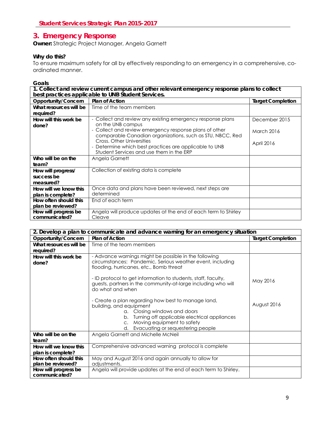### <span id="page-9-0"></span>**3. Emergency Response**

**Owner:** Strategic Project Manager, Angela Garnett

#### **Why do this?**

To ensure maximum safety for all by effectively responding to an emergency in a comprehensive, coordinated manner.

| 1. Collect and review current campus and other relevant emergency response plans to collect<br>best practices applicable to UNB Student Services. |                                                                                                                                 |                          |
|---------------------------------------------------------------------------------------------------------------------------------------------------|---------------------------------------------------------------------------------------------------------------------------------|--------------------------|
| Opportunity/Concern                                                                                                                               | <b>Plan of Action</b>                                                                                                           | <b>Target Completion</b> |
| What resources will be<br>required?                                                                                                               | Time of the team members                                                                                                        |                          |
| How will this work be<br>done?                                                                                                                    | - Collect and review any existing emergency response plans<br>on the UNB campus                                                 | December 2015            |
|                                                                                                                                                   | - Collect and review emergency response plans of other<br>comparable Canadian organizations, such as STU, NBCC, Red             | <b>March 2016</b>        |
|                                                                                                                                                   | Cross, Other Universities<br>- Determine which best practices are applicable to UNB<br>Student Services and use them in the ERP | April 2016               |
| Who will be on the<br>team?                                                                                                                       | Angela Garnett                                                                                                                  |                          |
| How will progress/                                                                                                                                | Collection of existing data is complete                                                                                         |                          |
| success be                                                                                                                                        |                                                                                                                                 |                          |
| measured?                                                                                                                                         |                                                                                                                                 |                          |
| How will we know this                                                                                                                             | Once data and plans have been reviewed, next steps are                                                                          |                          |
| plan is complete?                                                                                                                                 | determined                                                                                                                      |                          |
| How often should this<br>plan be reviewed?                                                                                                        | End of each term                                                                                                                |                          |
| How will progress be<br>communicated?                                                                                                             | Angela will produce updates at the end of each term to Shirley<br>Cleave                                                        |                          |

| 2. Develop a plan to communicate and advance warning for an emergency situation |                                                                                                                                                                                                                                              |                          |
|---------------------------------------------------------------------------------|----------------------------------------------------------------------------------------------------------------------------------------------------------------------------------------------------------------------------------------------|--------------------------|
| Opportunity/Concern                                                             | <b>Plan of Action</b>                                                                                                                                                                                                                        | <b>Target Completion</b> |
| What resources will be                                                          | Time of the team members                                                                                                                                                                                                                     |                          |
| required?                                                                       |                                                                                                                                                                                                                                              |                          |
| How will this work be<br>done?                                                  | - Advance warnings might be possible in the following<br>circumstances: Pandemic, Serious weather event, including<br>flooding, hurricanes, etc., Bomb threat                                                                                |                          |
|                                                                                 | - ID protocol to get information to students, staff, faculty,<br>guests, partners in the community-at-large including who will<br>do what and when                                                                                           | May 2016                 |
|                                                                                 | - Create a plan regarding how best to manage land,<br>building, and equipment<br>a. Closing windows and doors<br>b. Turning off applicable electrical appliances<br>c. Moving equipment to safety<br>Evacuating or sequestering people<br>d. | August 2016              |
| Who will be on the<br>team?                                                     | Angela Garnett and Michelle McNeil                                                                                                                                                                                                           |                          |
| How will we know this<br>plan is complete?                                      | Comprehensive advanced warning protocol is complete                                                                                                                                                                                          |                          |
| How often should this<br>plan be reviewed?                                      | May and August 2016 and again annually to allow for<br>adjustments.                                                                                                                                                                          |                          |
| How will progress be<br>communicated?                                           | Angela will provide updates at the end of each term to Shirley.                                                                                                                                                                              |                          |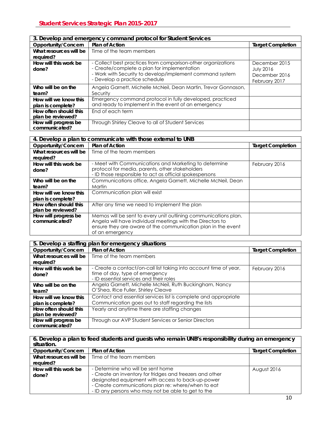| 3. Develop and emergency command protocol for Student Services |                                                                                                                                                                                                          |                                                                     |
|----------------------------------------------------------------|----------------------------------------------------------------------------------------------------------------------------------------------------------------------------------------------------------|---------------------------------------------------------------------|
| Opportunity/Concern                                            | <b>Plan of Action</b>                                                                                                                                                                                    | <b>Target Completion</b>                                            |
| What resources will be<br>required?                            | Time of the team members                                                                                                                                                                                 |                                                                     |
| How will this work be<br>done?                                 | - Collect best practices from comparison-other organizations<br>- Create/complete a plan for implementation<br>- Work with Security to develop/implement command system<br>- Develop a practice schedule | December 2015<br><b>July 2016</b><br>December 2016<br>February 2017 |
| Who will be on the<br>team?                                    | Angela Garnett, Michelle McNeil, Dean Martin, Trevor Gonnason,<br>Security                                                                                                                               |                                                                     |
| How will we know this<br>plan is complete?                     | Emergency command protocol in fully developed, practiced<br>and ready to implement in the event of an emergency                                                                                          |                                                                     |
| How often should this<br>plan be reviewed?                     | End of each term                                                                                                                                                                                         |                                                                     |
| How will progress be<br>communicated?                          | Through Shirley Cleave to all of Student Services                                                                                                                                                        |                                                                     |

| 4. Develop a plan to communicate with those external to UNB |                                                                 |                          |
|-------------------------------------------------------------|-----------------------------------------------------------------|--------------------------|
| Opportunity/Concern                                         | <b>Plan of Action</b>                                           | <b>Target Completion</b> |
| What resources will be                                      | Time of the team members                                        |                          |
| required?                                                   |                                                                 |                          |
| How will this work be                                       | - Meet with Communications and Marketing to determine           | February 2016            |
| done?                                                       | protocol for media, parents, other stakeholders                 |                          |
|                                                             | - ID those responsible to act as official spokespersons         |                          |
| Who will be on the                                          | Communications office, Angela Garnett, Michelle McNeil, Dean    |                          |
| team?                                                       | Martin                                                          |                          |
| How will we know this                                       | Communication plan will exist                                   |                          |
| plan is complete?                                           |                                                                 |                          |
| How often should this                                       | After any time we need to implement the plan                    |                          |
| plan be reviewed?                                           |                                                                 |                          |
| How will progress be                                        | Memos will be sent to every unit outlining communications plan. |                          |
| communicated?                                               | Angela will have individual meetings with the Directors to      |                          |
|                                                             | ensure they are aware of the communication plan in the event    |                          |
|                                                             | of an emergency                                                 |                          |

| 5. Develop a staffing plan for emergency situations |                                                                   |                          |
|-----------------------------------------------------|-------------------------------------------------------------------|--------------------------|
| Opportunity/Concern                                 | <b>Plan of Action</b>                                             | <b>Target Completion</b> |
| What resources will be                              | Time of the team members                                          |                          |
| required?                                           |                                                                   |                          |
| How will this work be                               | - Create a contact/on-call list taking into account time of year, | February 2016            |
| done?                                               | time of day, type of emergency                                    |                          |
|                                                     | - ID essential services and their roles                           |                          |
| Who will be on the                                  | Angela Garnett, Michelle McNeil, Ruth Buckingham, Nancy           |                          |
| team?                                               | O'Shea, Rice Fuller, Shirley Cleave                               |                          |
| How will we know this                               | Contact and essential services list is complete and appropriate   |                          |
| plan is complete?                                   | Communication goes out to staff regarding the lists               |                          |
| How often should this                               | Yearly and anytime there are staffing changes                     |                          |
| plan be reviewed?                                   |                                                                   |                          |
| How will progress be                                | Through our AVP Student Services or Senior Directors              |                          |
| communicated?                                       |                                                                   |                          |

| 6. Develop a plan to feed students and guests who remain UNB's responsibility during an emergency<br>situation. |                                                          |                          |
|-----------------------------------------------------------------------------------------------------------------|----------------------------------------------------------|--------------------------|
| Opportunity/Concern                                                                                             | Plan of Action                                           | <b>Target Completion</b> |
| What resources will be                                                                                          | Time of the team members                                 |                          |
| required?                                                                                                       |                                                          |                          |
| How will this work be                                                                                           | - Determine who will be sent home                        | August 2016              |
| done?                                                                                                           | - Create an inventory for fridges and freezers and other |                          |
|                                                                                                                 | designated equipment with access to back-up-power        |                          |
|                                                                                                                 | - Create communications plan re: where/when to eat       |                          |
|                                                                                                                 | - ID any persons who may not be able to get to the       |                          |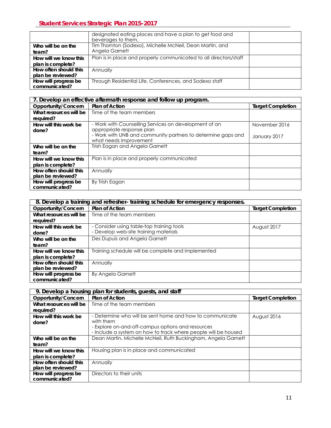|                       | designated eating places and have a plan to get food and<br>beverages to them. |  |
|-----------------------|--------------------------------------------------------------------------------|--|
| Who will be on the    | Tim Thornton (Sodexo), Michelle McNeil, Dean Martin, and                       |  |
| team?                 | Angela Garnett                                                                 |  |
| How will we know this | Plan is in place and properly communicated to all directors/staff              |  |
| plan is complete?     |                                                                                |  |
| How often should this | Annually                                                                       |  |
| plan be reviewed?     |                                                                                |  |
| How will progress be  | Through Residential Life, Conferences, and Sodexo staff                        |  |
| communicated?         |                                                                                |  |

|                        | 7. Develop an effective aftermath response and follow up program. |                          |
|------------------------|-------------------------------------------------------------------|--------------------------|
| Opportunity/Concern    | <b>Plan of Action</b>                                             | <b>Target Completion</b> |
| What resources will be | Time of the team members                                          |                          |
| required?              |                                                                   |                          |
| How will this work be  | - Work with Counselling Services on development of an             | November 2016            |
| done?                  | appropriate response plan                                         |                          |
|                        | - Work with UNB and community partners to determine gaps and      | January 2017             |
|                        | what needs improvement                                            |                          |
| Who will be on the     | Trish Eagan and Angela Garnett                                    |                          |
| team?                  |                                                                   |                          |
| How will we know this  | Plan is in place and properly communicated                        |                          |
| plan is complete?      |                                                                   |                          |
| How often should this  | Annually                                                          |                          |
| plan be reviewed?      |                                                                   |                          |
| How will progress be   | By Trish Eagan                                                    |                          |
| communicated?          |                                                                   |                          |

|                        | 8. Develop a training and refresher-training schedule for emergency responses. |                          |
|------------------------|--------------------------------------------------------------------------------|--------------------------|
| Opportunity/Concern    | <b>Plan of Action</b>                                                          | <b>Target Completion</b> |
| What resources will be | Time of the team members                                                       |                          |
| required?              |                                                                                |                          |
| How will this work be  | - Consider using table-top training tools                                      | August 2017              |
| done?                  | - Develop web-site training materials                                          |                          |
| Who will be on the     | Des Dupuis and Angela Garnett                                                  |                          |
| team?                  |                                                                                |                          |
| How will we know this  | Training schedule will be complete and implemented                             |                          |
| plan is complete?      |                                                                                |                          |
| How often should this  | Annually                                                                       |                          |
| plan be reviewed?      |                                                                                |                          |
| How will progress be   | By Angela Garnett                                                              |                          |
| communicated?          |                                                                                |                          |

| 9. Develop a housing plan for students, quests, and staff |                                                                |                          |
|-----------------------------------------------------------|----------------------------------------------------------------|--------------------------|
| Opportunity/Concern                                       | <b>Plan of Action</b>                                          | <b>Target Completion</b> |
| What resources will be                                    | Time of the team members                                       |                          |
| required?                                                 |                                                                |                          |
| How will this work be                                     | - Determine who will be sent home and how to communicate       | August 2016              |
| done?                                                     | with them                                                      |                          |
|                                                           | - Explore on-and-off-campus options and resources              |                          |
|                                                           | - Include a system on how to track where people will be housed |                          |
| Who will be on the                                        | Dean Martin, Michelle McNeil, Ruth Buckingham, Angela Garnett  |                          |
| team?                                                     |                                                                |                          |
| How will we know this                                     | Housing plan is in place and communicated                      |                          |
| plan is complete?                                         |                                                                |                          |
| How often should this                                     | Annually                                                       |                          |
| plan be reviewed?                                         |                                                                |                          |
| How will progress be                                      | Directors to their units                                       |                          |
| communicated?                                             |                                                                |                          |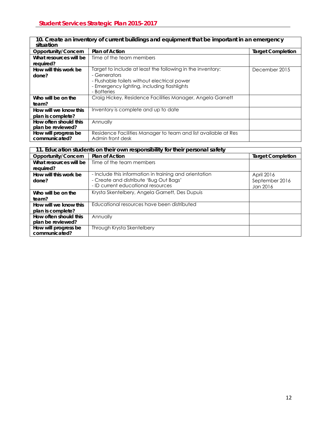| 10. Create an inventory of current buildings and equipment that be important in an emergency<br>situation |                                                                |                          |
|-----------------------------------------------------------------------------------------------------------|----------------------------------------------------------------|--------------------------|
| Opportunity/Concern                                                                                       | <b>Plan of Action</b>                                          | <b>Target Completion</b> |
| What resources will be                                                                                    | Time of the team members                                       |                          |
| required?                                                                                                 |                                                                |                          |
| How will this work be                                                                                     | Target to include at least the following in the inventory:     | December 2015            |
| done?                                                                                                     | - Generators                                                   |                          |
|                                                                                                           | - Flushable toilets without electrical power                   |                          |
|                                                                                                           | - Emergency lighting, including flashlights                    |                          |
|                                                                                                           | - Batteries                                                    |                          |
| Who will be on the                                                                                        | Craig Hickey, Residence Facilities Manager, Angela Garnett     |                          |
| team?                                                                                                     |                                                                |                          |
| How will we know this                                                                                     | Inventory is complete and up to date                           |                          |
| plan is complete?                                                                                         |                                                                |                          |
| How often should this                                                                                     | Annually                                                       |                          |
| plan be reviewed?                                                                                         |                                                                |                          |
| How will progress be                                                                                      | Residence Facilities Manager to team and list available at Res |                          |
| communicated?                                                                                             | Admin front desk                                               |                          |

| 11. Education students on their own responsibility for their personal safety |                                                        |                          |
|------------------------------------------------------------------------------|--------------------------------------------------------|--------------------------|
| Opportunity/Concern                                                          | <b>Plan of Action</b>                                  | <b>Target Completion</b> |
| What resources will be                                                       | Time of the team members                               |                          |
| required?                                                                    |                                                        |                          |
| How will this work be                                                        | - Include this information in training and orientation | April 2016               |
| done?                                                                        | - Create and distribute 'Bug Out Bags'                 | September 2016           |
|                                                                              | - ID current educational resources                     | Jan 2016                 |
| Who will be on the                                                           | Krysta Skentelbery, Angela Garnett, Des Dupuis         |                          |
| team?                                                                        |                                                        |                          |
| How will we know this                                                        | Educational resources have been distributed            |                          |
| plan is complete?                                                            |                                                        |                          |
| How often should this                                                        | Annually                                               |                          |
| plan be reviewed?                                                            |                                                        |                          |
| How will progress be                                                         | Through Krysta Skentelbery                             |                          |
| communicated?                                                                |                                                        |                          |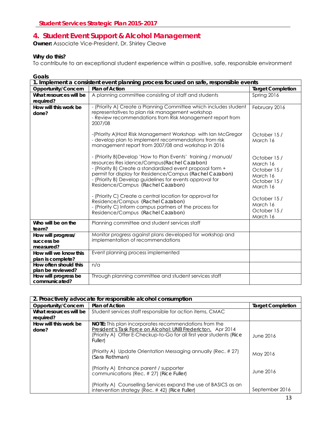### <span id="page-13-0"></span>**4. Student Event Support & Alcohol Management**

**Owner:** Associate Vice-President, Dr. Shirley Cleave

#### **Why do this?**

To contribute to an exceptional student experience within a positive, safe, responsible environment

| Goals                                                                                |                                                                                                                                                                                                                                                                                                                                           |                                                                               |
|--------------------------------------------------------------------------------------|-------------------------------------------------------------------------------------------------------------------------------------------------------------------------------------------------------------------------------------------------------------------------------------------------------------------------------------------|-------------------------------------------------------------------------------|
| 1. Implement a consistent event planning process focused on safe, responsible events |                                                                                                                                                                                                                                                                                                                                           |                                                                               |
| Opportunity/Concern                                                                  | <b>Plan of Action</b>                                                                                                                                                                                                                                                                                                                     | <b>Target Completion</b>                                                      |
| What resources will be                                                               | A planning committee consisting of staff and students                                                                                                                                                                                                                                                                                     | Spring 2016                                                                   |
| required?                                                                            |                                                                                                                                                                                                                                                                                                                                           |                                                                               |
| How will this work be<br>done?                                                       | - (Priority A) Create a Planning Committee which includes student<br>representatives to plan risk management workshop<br>- Review recommendations from Risk Management report from<br>2007/08                                                                                                                                             | February 2016                                                                 |
|                                                                                      | -(Priority A)Host Risk Management Workshop with Ian McGregor<br>- develop plan to implement recommendations from risk<br>management report from 2007/08 and workshop in 2016                                                                                                                                                              | October 15/<br>March 16                                                       |
|                                                                                      | - (Priority B)Develop 'How to Plan Events' training / manual/<br>resources Res idence/Campus (Rachel Cazabon)<br>- (Priority B) Create a standardized event proposal form +<br>permit for display for Residence/Campus (Rachel Cazabon)<br>- (Priority B) Develop guidelines for events approval for<br>Residence/Campus (Rachel Cazabon) | October 15/<br>March 16<br>October 15/<br>March 16<br>October 15/<br>March 16 |
|                                                                                      | - (Priority C) Create a central location for approval for<br>Residence/Campus (Rachel Cazabon)<br>- (Priority C) Inform campus partners of the process for<br>Residence/Campus (Rachel Cazabon)                                                                                                                                           | October 15/<br>March 16<br>October 15/<br>March 16                            |
| Who will be on the<br>team?                                                          | Planning committee and student services staff                                                                                                                                                                                                                                                                                             |                                                                               |
| How will progress/<br>success be<br>measured?                                        | Monitor progress against plans developed for workshop and<br>implementation of recommendations                                                                                                                                                                                                                                            |                                                                               |
| How will we know this                                                                | Event planning process implemented                                                                                                                                                                                                                                                                                                        |                                                                               |
| plan is complete?                                                                    |                                                                                                                                                                                                                                                                                                                                           |                                                                               |
| How often should this                                                                | n/a                                                                                                                                                                                                                                                                                                                                       |                                                                               |
| plan be reviewed?                                                                    |                                                                                                                                                                                                                                                                                                                                           |                                                                               |
| How will progress be<br>communicated?                                                | Through planning committee and student services staff                                                                                                                                                                                                                                                                                     |                                                                               |

| 2. Proactively advocate for responsible alcohol consumption |                                                                                                                                                                                                                       |                          |
|-------------------------------------------------------------|-----------------------------------------------------------------------------------------------------------------------------------------------------------------------------------------------------------------------|--------------------------|
| Opportunity/Concern                                         | <b>Plan of Action</b>                                                                                                                                                                                                 | <b>Target Completion</b> |
| What resources will be                                      | Student services staff responsible for action items, CMAC                                                                                                                                                             |                          |
| required?                                                   |                                                                                                                                                                                                                       |                          |
| How will this work be<br>done?                              | <b>NOTE:</b> This plan incorporates recommendations from the<br>President's Task Force on Alcohol: UNB Fredericton, Apr 2014<br>(Priority A) Offer E-Checkup-to-Go for all first year students (Rice<br><b>Fullen</b> | June 2016                |
|                                                             | (Priority A) Update Orientation Messaging annually (Rec. #27)<br>(Sara Rothman)                                                                                                                                       | May 2016                 |
|                                                             | (Priority A) Enhance parent / supporter<br>communications (Rec. # 27) (Rice Fuller)                                                                                                                                   | June 2016                |
|                                                             | (Priority A) Counselling Services expand the use of BASICS as an<br>intervention strategy (Rec. #42) (Rice Fuller)                                                                                                    | September 2016           |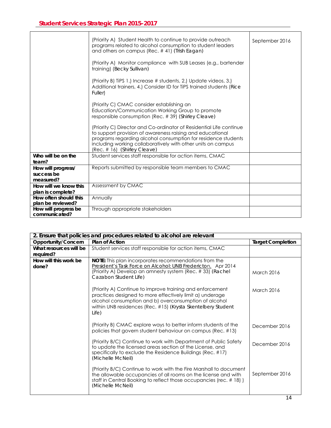|                                               | (Priority A) Student Health to continue to provide outreach<br>programs related to alcohol consumption to student leaders<br>and others on campus (Rec. #41) (Trish Eagan)                                                                                                                        | September 2016 |
|-----------------------------------------------|---------------------------------------------------------------------------------------------------------------------------------------------------------------------------------------------------------------------------------------------------------------------------------------------------|----------------|
|                                               | (Priority A) Monitor compliance with SUB Leases (e.g., bartender<br>training) (Becky Sullivan)                                                                                                                                                                                                    |                |
|                                               | (Priority B) TiPS 1.) Increase # students, 2.) Update videos, 3.)<br>Additional trainers, 4.) Consider ID for TiPS trained students (Rice<br><b>Fuller</b>                                                                                                                                        |                |
|                                               | (Priority C) CMAC consider establishing an<br>Education/Communication Working Group to promote<br>responsible consumption (Rec. #39) (Shirley Cleave)                                                                                                                                             |                |
|                                               | (Priority C) Director and Co-ordinator of Residential Life continue<br>to support provision of awareness raising and educational<br>programs regarding alcohol consumption for residence students<br>including working collaboratively with other units on campus<br>(Rec. # 16) (Shirley Cleave) |                |
| Who will be on the<br>team?                   | Student services staff responsible for action items, CMAC                                                                                                                                                                                                                                         |                |
| How will progress/<br>success be<br>measured? | Reports submitted by responsible team members to CMAC                                                                                                                                                                                                                                             |                |
| How will we know this                         | Assessment by CMAC                                                                                                                                                                                                                                                                                |                |
| plan is complete?<br>How often should this    | Annually                                                                                                                                                                                                                                                                                          |                |
| plan be reviewed?                             |                                                                                                                                                                                                                                                                                                   |                |
| How will progress be<br>communicated?         | Through appropriate stakeholders                                                                                                                                                                                                                                                                  |                |

|                                | 2. Ensure that policies and procedures related to alcohol are relevant                                                                                                                                                                                  |                          |
|--------------------------------|---------------------------------------------------------------------------------------------------------------------------------------------------------------------------------------------------------------------------------------------------------|--------------------------|
| Opportunity/Concern            | Plan of Action                                                                                                                                                                                                                                          | <b>Target Completion</b> |
| What resources will be         | Student services staff responsible for action items, CMAC                                                                                                                                                                                               |                          |
| required?                      |                                                                                                                                                                                                                                                         |                          |
| How will this work be<br>done? | <b>NOTE:</b> This plan incorporates recommendations from the<br>President's Task Force on Alcohol: UNB Fredericton, Apr 2014<br>(Priority A) Develop an amnesty system (Rec. #33) (Rachel<br>Cazabon Student Life)                                      | <b>March 2016</b>        |
|                                | (Priority A) Continue to improve training and enforcement<br>practices designed to more effectively limit a) underage<br>alcohol consumption and b) overconsumption of alcohol<br>within UNB residences (Rec. #15) (Krysta Skentelbery Student<br>Life) | <b>March 2016</b>        |
|                                | (Priority B) CMAC explore ways to better inform students of the<br>policies that govern student behaviour on campus (Rec. #13)                                                                                                                          | December 2016            |
|                                | (Priority B/C) Continue to work with Department of Public Safety<br>to update the licensed areas section of the License, and<br>specifically to exclude the Residence Buildings (Rec. #17)<br>(Michelle McNeil)                                         | December 2016            |
|                                | (Priority B/C) Continue to work with the Fire Marshall to document<br>the allowable occupancies of all rooms on the license and with<br>staff in Central Booking to reflect those occupancies (rec. #18))<br>(Michelle McNeil)                          | September 2016           |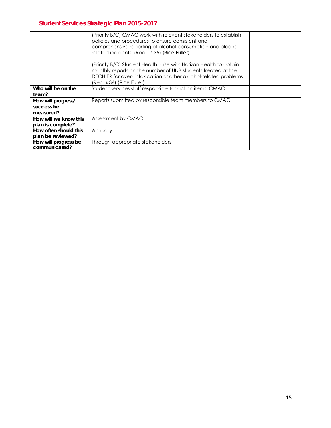|                       | (Priority B/C) CMAC work with relevant stakeholders to establish<br>policies and procedures to ensure consistent and<br>comprehensive reporting of alcohol consumption and alcohol<br>related incidents (Rec. #35) (Rice Fuller)<br>(Priority B/C) Student Health liaise with Horizon Health to obtain<br>monthly reports on the number of UNB students treated at the<br>DECH ER for over-intoxication or other alcohol-related problems<br>(Rec. #36) <i>(Rice Fuller)</i> |  |
|-----------------------|------------------------------------------------------------------------------------------------------------------------------------------------------------------------------------------------------------------------------------------------------------------------------------------------------------------------------------------------------------------------------------------------------------------------------------------------------------------------------|--|
| Who will be on the    | Student services staff responsible for action items, CMAC                                                                                                                                                                                                                                                                                                                                                                                                                    |  |
| team?                 |                                                                                                                                                                                                                                                                                                                                                                                                                                                                              |  |
| How will progress/    | Reports submitted by responsible team members to CMAC                                                                                                                                                                                                                                                                                                                                                                                                                        |  |
| success be            |                                                                                                                                                                                                                                                                                                                                                                                                                                                                              |  |
| measured?             |                                                                                                                                                                                                                                                                                                                                                                                                                                                                              |  |
| How will we know this | Assessment by CMAC                                                                                                                                                                                                                                                                                                                                                                                                                                                           |  |
| plan is complete?     |                                                                                                                                                                                                                                                                                                                                                                                                                                                                              |  |
| How often should this | Annually                                                                                                                                                                                                                                                                                                                                                                                                                                                                     |  |
| plan be reviewed?     |                                                                                                                                                                                                                                                                                                                                                                                                                                                                              |  |
| How will progress be  | Through appropriate stakeholders                                                                                                                                                                                                                                                                                                                                                                                                                                             |  |
| communicated?         |                                                                                                                                                                                                                                                                                                                                                                                                                                                                              |  |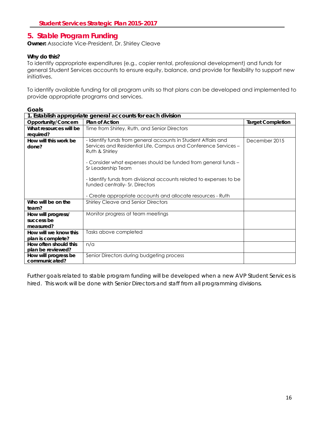### <span id="page-16-0"></span>**5. Stable Program Funding**

**Owner:** Associate Vice-President, Dr. Shirley Cleave

#### **Why do this?**

To identify appropriate expenditures (e.g., copier rental, professional development) and funds for general Student Services accounts to ensure equity, balance, and provide for flexibility to support new initiatives.

To identify available funding for all program units so that plans can be developed and implemented to provide appropriate programs and services.

| Goals                                                       |                                                                                                        |                          |
|-------------------------------------------------------------|--------------------------------------------------------------------------------------------------------|--------------------------|
| 1. Establish appropriate general accounts for each division |                                                                                                        |                          |
| Opportunity/Concern                                         | <b>Plan of Action</b>                                                                                  | <b>Target Completion</b> |
| What resources will be                                      | Time from Shirley, Ruth, and Senior Directors                                                          |                          |
| required?                                                   |                                                                                                        |                          |
| How will this work be                                       | - Identify funds from general accounts in Student Affairs and                                          | December 2015            |
| done?                                                       | Services and Residential Life, Campus and Conference Services -<br>Ruth & Shirley                      |                          |
|                                                             |                                                                                                        |                          |
|                                                             | - Consider what expenses should be funded from general funds -<br>Sr Leadership Team                   |                          |
|                                                             | - Identify funds from divisional accounts related to expenses to be<br>funded centrally- Sr. Directors |                          |
|                                                             | - Create appropriate accounts and allocate resources - Ruth                                            |                          |
| Who will be on the<br>team?                                 | <b>Shirley Cleave and Senior Directors</b>                                                             |                          |
| How will progress/                                          | Monitor progress at team meetings                                                                      |                          |
| success be                                                  |                                                                                                        |                          |
| measured?                                                   |                                                                                                        |                          |
| How will we know this                                       | Tasks above completed                                                                                  |                          |
| plan is complete?                                           |                                                                                                        |                          |
| How often should this                                       | n/a                                                                                                    |                          |
| plan be reviewed?                                           |                                                                                                        |                          |
| How will progress be<br>communicated?                       | Senior Directors during budgeting process                                                              |                          |

*Further goals related to stable program funding will be developed when a new AVP Student Services is hired. This work will be done with Senior Directors and staff from all programming divisions.*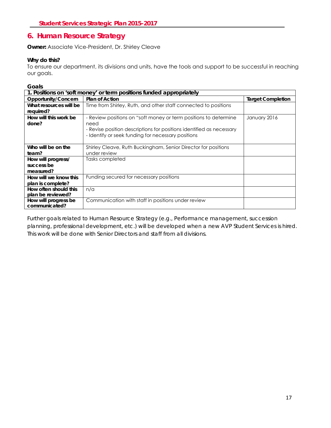### <span id="page-17-0"></span>**6. Human Resource Strategy**

**Owner:** Associate Vice-President, Dr. Shirley Cleave

#### **Why do this?**

To ensure our department, its divisions and units, have the tools and support to be successful in reaching our goals.

**Goals** 

| 1. Positions on 'soft money' or term positions funded appropriately |                                                                      |                          |
|---------------------------------------------------------------------|----------------------------------------------------------------------|--------------------------|
| Opportunity/Concern                                                 | <b>Plan of Action</b>                                                | <b>Target Completion</b> |
| What resources will be                                              | Time from Shirley, Ruth, and other staff connected to positions      |                          |
| required?                                                           |                                                                      |                          |
| How will this work be                                               | - Review positions on "soft money or term positions to determine     | January 2016             |
| done?                                                               | need                                                                 |                          |
|                                                                     | - Revise position descriptions for positions identified as necessary |                          |
|                                                                     | - Identify or seek funding for necessary positions                   |                          |
|                                                                     |                                                                      |                          |
| Who will be on the                                                  | Shirley Cleave, Ruth Buckingham, Senior Director for positions       |                          |
| team?                                                               | under review                                                         |                          |
| How will progress/                                                  | Tasks completed                                                      |                          |
| success be                                                          |                                                                      |                          |
| measured?                                                           |                                                                      |                          |
| How will we know this                                               | Funding secured for necessary positions                              |                          |
| plan is complete?                                                   |                                                                      |                          |
| How often should this                                               | n/a                                                                  |                          |
| plan be reviewed?                                                   |                                                                      |                          |
| How will progress be                                                | Communication with staff in positions under review                   |                          |
| communicated?                                                       |                                                                      |                          |

*Further goals related to Human Resource Strategy (e.g., Performance management, succession planning, professional development, etc.) will be developed when a new AVP Student Services is hired. This work will be done with Senior Directors and staff from all divisions.*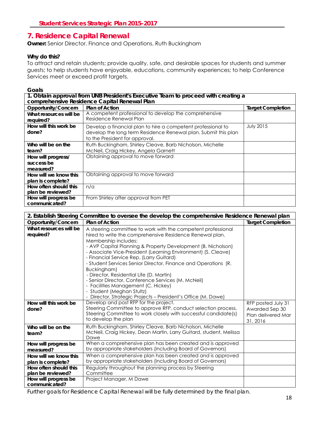### <span id="page-18-0"></span>**7. Residence Capital Renewal**

**Owner:** Senior Director, Finance and Operations, Ruth Buckingham

#### **Why do this?**

To attract and retain students; provide quality, safe, and desirable spaces for students and summer guests; to help students have enjoyable, educations, community experiences; to help Conference Services meet or exceed profit targets.

#### **Goals**

| 1. Obtain approval from UNB President's Executive Team to proceed with creating a<br>comprehensive Residence Capital Renewal Plan |                                                                                                                                                                  |                          |
|-----------------------------------------------------------------------------------------------------------------------------------|------------------------------------------------------------------------------------------------------------------------------------------------------------------|--------------------------|
| Opportunity/Concern                                                                                                               | <b>Plan of Action</b>                                                                                                                                            | <b>Target Completion</b> |
| What resources will be<br>required?                                                                                               | A competent professional to develop the comprehensive<br>Residence Renewal Plan                                                                                  |                          |
| How will this work be<br>done?                                                                                                    | Develop a financial plan to hire a competent professional to<br>develop the long term Residence Renewal plan. Submit this plan<br>to the President for approval. | <b>July 2015</b>         |
| Who will be on the<br>team?                                                                                                       | Ruth Buckingham, Shirley Cleave, Barb Nicholson, Michelle<br>McNeil, Craig Hickey, Angela Garnett                                                                |                          |
| How will progress/<br>success be<br>measured?                                                                                     | Obtaining approval to move forward                                                                                                                               |                          |
| How will we know this<br>plan is complete?                                                                                        | Obtaining approval to move forward                                                                                                                               |                          |
| How often should this<br>plan be reviewed?                                                                                        | n/a                                                                                                                                                              |                          |
| How will progress be<br>communicated?                                                                                             | From Shirley after approval from PET                                                                                                                             |                          |

| 2. Establish Steering Committee to oversee the develop the comprehensive Residence Renewal plan |                                                                                                                                                                                                                                                                                                                                                                                                                                                                                                                                                                                                                                                       |                                                                        |
|-------------------------------------------------------------------------------------------------|-------------------------------------------------------------------------------------------------------------------------------------------------------------------------------------------------------------------------------------------------------------------------------------------------------------------------------------------------------------------------------------------------------------------------------------------------------------------------------------------------------------------------------------------------------------------------------------------------------------------------------------------------------|------------------------------------------------------------------------|
| Opportunity/Concern                                                                             | <b>Plan of Action</b>                                                                                                                                                                                                                                                                                                                                                                                                                                                                                                                                                                                                                                 | <b>Target Completion</b>                                               |
| What resources will be<br>required?                                                             | A steering committee to work with the competent professional<br>hired to write the comprehensive Residence Renewal plan.<br>Membership includes:<br>- AVP Capital Planning & Property Development (B. Nicholson)<br>- Associate Vice-President (Learning Environment) (S. Cleave)<br>- Financial Service Rep. (Larry Guitard)<br>- Student Services Senior Director, Finance and Operations (R.<br>Buckingham)<br>- Director, Residential Life (D. Martin)<br>- Senior Director, Conference Services (M. McNeil)<br>- Facilities Management (C. Hickey)<br>- Student (Meghan Stultz)<br>- Director, Strategic Projects - President's Office (M. Dawe) |                                                                        |
| How will this work be<br>done?                                                                  | Develop and post RFP for the project.<br>Steering Committee to approve RFP, conduct selection process.<br>Steering Committee to work closely with successful candidate(s)<br>to develop the plan                                                                                                                                                                                                                                                                                                                                                                                                                                                      | RFP posted July 31<br>Awarded Sep 30<br>Plan delivered Mar<br>31, 2016 |
| Who will be on the<br>team?                                                                     | Ruth Buckingham, Shirley Cleave, Barb Nicholson, Michelle<br>McNeil, Craig Hickey, Dean Martin, Larry Guitard, student, Melissa<br>Dawe                                                                                                                                                                                                                                                                                                                                                                                                                                                                                                               |                                                                        |
| How will progress be<br>measured?                                                               | When a comprehensive plan has been created and is approved<br>by appropriate stakeholders (including Board of Governors)                                                                                                                                                                                                                                                                                                                                                                                                                                                                                                                              |                                                                        |
| How will we know this<br>plan is complete?                                                      | When a comprehensive plan has been created and is approved<br>by appropriate stakeholders (including Board of Governors)                                                                                                                                                                                                                                                                                                                                                                                                                                                                                                                              |                                                                        |
| How often should this<br>plan be reviewed?                                                      | Regularly throughout the planning process by Steering<br>Committee                                                                                                                                                                                                                                                                                                                                                                                                                                                                                                                                                                                    |                                                                        |
| How will progress be<br>communicated?                                                           | Project Manager, M Dawe                                                                                                                                                                                                                                                                                                                                                                                                                                                                                                                                                                                                                               |                                                                        |

*Further goals for Residence Capital Renewal will be fully determined by the final plan.*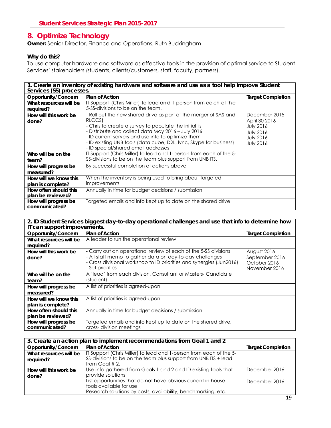### <span id="page-19-0"></span>**8. Optimize Technology**

**Owner:** Senior Director, Finance and Operations, Ruth Buckingham

#### **Why do this?**

To use computer hardware and software as effective tools in the provision of optimal service to Student Services' stakeholders (students, clients/customers, staff, faculty, partners).

| 1. Create an inventory of existing hardware and software and use as a tool help improve Student<br>Services (SS) processes. |                                                                                                                                                                                                                                                                                            |                                                                                               |
|-----------------------------------------------------------------------------------------------------------------------------|--------------------------------------------------------------------------------------------------------------------------------------------------------------------------------------------------------------------------------------------------------------------------------------------|-----------------------------------------------------------------------------------------------|
| Opportunity/Concern                                                                                                         | <b>Plan of Action</b>                                                                                                                                                                                                                                                                      | <b>Target Completion</b>                                                                      |
| What resources will be                                                                                                      | IT Support (Chris Miller) to lead and 1-person from each of the<br>5-SS-divisions to be on the team.                                                                                                                                                                                       |                                                                                               |
| required?                                                                                                                   |                                                                                                                                                                                                                                                                                            |                                                                                               |
| How will this work be                                                                                                       | - Roll out the new shared drive as part of the merger of SAS and                                                                                                                                                                                                                           | December 2015                                                                                 |
| done?                                                                                                                       | RLCCS)<br>- Chris to create a survey to populate the initial list<br>- Distribute and collect data May 2016 - July 2016<br>- ID current servers and use info to optimize them<br>- ID existing UNB tools (data cube, D2L, lync, Skype for business)<br>- ID special/shared email addresses | April 30 2016<br><b>July 2016</b><br><b>July 2016</b><br><b>July 2016</b><br><b>July 2016</b> |
| Who will be on the<br>team?                                                                                                 | IT Support (Chris Miller) to lead and 1-person from each of the 5-<br>SS-divisions to be on the team plus support from UNB ITS.                                                                                                                                                            |                                                                                               |
| How will progress be<br>measured?                                                                                           | By successful completion of actions above                                                                                                                                                                                                                                                  |                                                                                               |
| How will we know this<br>plan is complete?                                                                                  | When the inventory is being used to bring about targeted<br>improvements                                                                                                                                                                                                                   |                                                                                               |
| How often should this<br>plan be reviewed?                                                                                  | Annually in time for budget decisions / submission                                                                                                                                                                                                                                         |                                                                                               |
| How will progress be<br>communicated?                                                                                       | Targeted emails and info kept up to date on the shared drive                                                                                                                                                                                                                               |                                                                                               |

#### **2. ID Student Services biggest day-to-day operational challenges and use that info to determine how IT can support improvements.**

| Opportunity/Concern               | <b>Plan of Action</b>                                                                                                                                | <b>Target Completion</b>                        |
|-----------------------------------|------------------------------------------------------------------------------------------------------------------------------------------------------|-------------------------------------------------|
| What resources will be            | A leader to run the operational review                                                                                                               |                                                 |
| required?                         |                                                                                                                                                      |                                                 |
| How will this work be             | - Carry out an operational review of each of the 5-SS divisions                                                                                      | August 2016                                     |
| done?                             | - All-staff memo to gather data on day-to-day challenges<br>- Cross divisional workshop to ID priorities and synergies (Jun2016)<br>- Set priorities | September 2016<br>October 2016<br>November 2016 |
| Who will be on the<br>team?       | A 'lead' from each division, Consultant or Masters-Candidate<br>(student)                                                                            |                                                 |
| How will progress be<br>measured? | A list of priorities is agreed-upon                                                                                                                  |                                                 |
| How will we know this             | A list of priorities is agreed-upon                                                                                                                  |                                                 |
| plan is complete?                 |                                                                                                                                                      |                                                 |
| How often should this             | Annually in time for budget decisions / submission                                                                                                   |                                                 |
| plan be reviewed?                 |                                                                                                                                                      |                                                 |
| How will progress be              | Targeted emails and info kept up to date on the shared drive,                                                                                        |                                                 |
| communicated?                     | cross-division meetings                                                                                                                              |                                                 |

| 3. Create an action plan to implement recommendations from Goal 1 and 2 |                                                                    |                          |
|-------------------------------------------------------------------------|--------------------------------------------------------------------|--------------------------|
| Opportunity/Concern                                                     | <b>Plan of Action</b>                                              | <b>Target Completion</b> |
| What resources will be                                                  | IT Support (Chris Miller) to lead and 1-person from each of the 5- |                          |
| required?                                                               | SS-divisions to be on the team plus support from UNB ITS + lead    |                          |
|                                                                         | from Goal $# 2$ .                                                  |                          |
| How will this work be                                                   | Use info gathered from Goals 1 and 2 and ID existing tools that    | December 2016            |
| done?                                                                   | provide solutions                                                  |                          |
|                                                                         | List opportunities that do not have obvious current in-house       | December 2016            |
|                                                                         | tools available for use                                            |                          |
|                                                                         | Research solutions by costs, availability, benchmarking, etc.      |                          |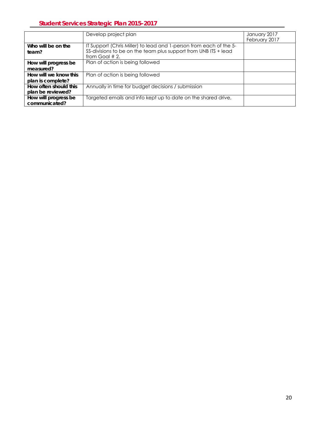|                                            | Develop project plan                                                                                                                                       | January 2017<br>February 2017 |
|--------------------------------------------|------------------------------------------------------------------------------------------------------------------------------------------------------------|-------------------------------|
| Who will be on the<br>team?                | IT Support (Chris Miller) to lead and 1-person from each of the 5-<br>SS-divisions to be on the team plus support from UNB ITS + lead<br>from Goal $# 2$ . |                               |
| How will progress be<br>measured?          | Plan of action is being followed                                                                                                                           |                               |
| How will we know this<br>plan is complete? | Plan of action is being followed                                                                                                                           |                               |
| How often should this<br>plan be reviewed? | Annually in time for budget decisions / submission                                                                                                         |                               |
| How will progress be<br>communicated?      | Targeted emails and info kept up to date on the shared drive,                                                                                              |                               |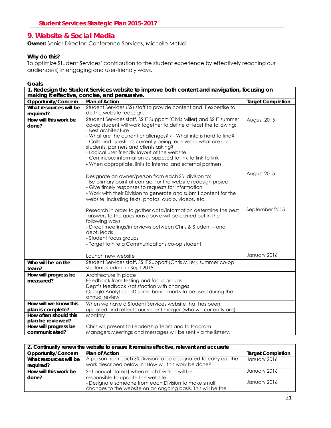### <span id="page-21-0"></span>**9. Website & Social Media**

**Owner:** Senior Director, Conference Services, Michelle McNeil

#### **Why do this?**

To optimize Student Services' contribution to the student experience by effectively reaching our audience(s) in engaging and user-friendly ways.

| 1. Redesign the Student Services website to improve both content and navigation, focusing on<br>making it effective, concise, and persuasive. |                                                                                                                                                                                                                                                                                                                                                                                                                                                                                                                                   |                          |
|-----------------------------------------------------------------------------------------------------------------------------------------------|-----------------------------------------------------------------------------------------------------------------------------------------------------------------------------------------------------------------------------------------------------------------------------------------------------------------------------------------------------------------------------------------------------------------------------------------------------------------------------------------------------------------------------------|--------------------------|
| Opportunity/Concern                                                                                                                           | Plan of Action                                                                                                                                                                                                                                                                                                                                                                                                                                                                                                                    | <b>Target Completion</b> |
| What resources will be<br>required?                                                                                                           | Student Services (SS) staff to provide content and IT expertise to<br>do the website redesign.                                                                                                                                                                                                                                                                                                                                                                                                                                    |                          |
| How will this work be<br>done?                                                                                                                | Student Services staff, SS IT Support (Chris Miller) and SS IT summer<br>co-op student will work together to define at least the following:<br>- Best architecture<br>- What are the current challenges? / - What info is hard to find?<br>- Calls and questions currently being received - what are our<br>students, partners and clients asking?<br>- Logical user-friendly layout of the website<br>- Continuous information as opposed to link-to-link-to-link<br>- When appropriate, links to internal and external partners | August 2015              |
|                                                                                                                                               | Designate an owner/person from each SS division to:<br>- Be primary point of contact for the website redesign project<br>- Give timely responses to requests for information<br>- Work with their Division to generate and submit content for the<br>website, including texts, photos, audio, videos, etc.                                                                                                                                                                                                                        | August 2015              |
|                                                                                                                                               | Research in order to gather data/information determine the best<br>-answers to the questions above will be carried out in the<br>following ways<br>- Direct meetings/interviews between Chris & Student - and<br>dept. leads<br>- Student focus groups<br>- Target to hire a Communications co-op student                                                                                                                                                                                                                         | September 2015           |
|                                                                                                                                               | Launch new website                                                                                                                                                                                                                                                                                                                                                                                                                                                                                                                | January 2016             |
| Who will be on the<br>team?                                                                                                                   | Student Services staff, SS IT Support (Chris Miller), summer co-op<br>student, student in Sept 2015                                                                                                                                                                                                                                                                                                                                                                                                                               |                          |
| How will progress be<br>measured?                                                                                                             | Architecture in place<br>Feedback from testing and focus groups<br>Dept's feedback /satisfaction with changes<br>Google Analytics - ID some benchmarks to be used during the<br>annual review                                                                                                                                                                                                                                                                                                                                     |                          |
| How will we know this<br>plan is complete?                                                                                                    | When we have a Student Services website that has been<br>updated and reflects our recent merger (who we currently are)                                                                                                                                                                                                                                                                                                                                                                                                            |                          |
| How often should this<br>plan be reviewed?                                                                                                    | Monthly                                                                                                                                                                                                                                                                                                                                                                                                                                                                                                                           |                          |
| How will progress be<br>communicated?                                                                                                         | Chris will present to Leadership Team and to Program<br>Managers Meetings and messages will be sent via the listserv.                                                                                                                                                                                                                                                                                                                                                                                                             |                          |

| 2. Continually renew the website to ensure it remains effective, relevant and accurate |                                                                  |                          |
|----------------------------------------------------------------------------------------|------------------------------------------------------------------|--------------------------|
| Opportunity/Concern                                                                    | <b>Plan of Action</b>                                            | <b>Target Completion</b> |
| What resources will be                                                                 | A person from each SS Division to be designated to carry out the | January 2016             |
| required?                                                                              | work described below in 'How will this work be done?             |                          |
| How will this work be                                                                  | Set annual date(s) when each Division will be                    | January 2016             |
| done?                                                                                  | responsible to update the website                                |                          |
|                                                                                        | - Designate someone from each Division to make small             | January 2016             |
|                                                                                        | changes to the website on an ongoing basis. This will be the     |                          |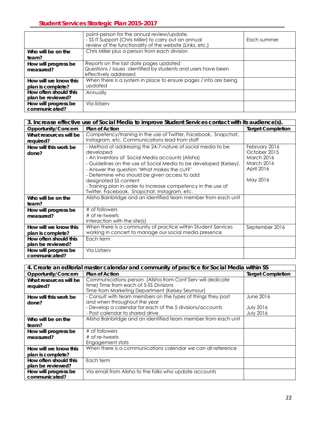|                                            | point-person for the annual review/update.<br>- SS IT Support (Chris Miller) to carry out an annual<br>review of the functionality of the website (Links, etc.) | Each summer |
|--------------------------------------------|-----------------------------------------------------------------------------------------------------------------------------------------------------------------|-------------|
| Who will be on the                         | Chris Miller plus a person from each division                                                                                                                   |             |
| team?                                      |                                                                                                                                                                 |             |
| How will progress be<br>measured?          | Reports on the last date pages updated<br>Questions / issues identified by students and users have been<br>effectively addressed                                |             |
| How will we know this<br>plan is complete? | When there is a system in place to ensure pages / info are being<br>updated                                                                                     |             |
| How often should this<br>plan be reviewed? | Annually                                                                                                                                                        |             |
| How will progress be<br>communicated?      | Via listserv                                                                                                                                                    |             |

| 3. Increase effective use of Social Media to improve Student Services contact with its audience(s). |                                                                   |                          |
|-----------------------------------------------------------------------------------------------------|-------------------------------------------------------------------|--------------------------|
| Opportunity/Concern                                                                                 | <b>Plan of Action</b>                                             | <b>Target Completion</b> |
| What resources will be                                                                              | Competency/training in the use of Twitter, Facebook, Snapchat,    |                          |
| required?                                                                                           | Instagram, etc. Communications lead from staff                    |                          |
| How will this work be                                                                               | - Method of addressing the 24-7-nature of social media to be      | February 2016            |
| done?                                                                                               | developed                                                         | October 2015             |
|                                                                                                     | - An inventory of Social Media accounts (Alisha)                  | <b>March 2016</b>        |
|                                                                                                     | - Guidelines on the use of Social Media to be developed (Kelsey). | <b>March 2016</b>        |
|                                                                                                     | - Answer the question 'What makes the cut?'                       | April 2016               |
|                                                                                                     | - Determine who should be given access to add                     |                          |
|                                                                                                     | designated SS content                                             | May 2016                 |
|                                                                                                     | - Training plan in order to increase competency in the use of     |                          |
|                                                                                                     | Twitter, Facebook, Snapchat, Instagram, etc.                      |                          |
| Who will be on the                                                                                  | Alisha Bainbridge and an identified team member from each unit    |                          |
| team?                                                                                               |                                                                   |                          |
| How will progress be                                                                                | # of followers                                                    |                          |
| measured?                                                                                           | # of re-tweets                                                    |                          |
|                                                                                                     | Interaction with the site $(s)$                                   |                          |
| How will we know this                                                                               | When there is a community of practice within Student Services     | September 2016           |
| plan is complete?                                                                                   | working in concert to manage our social media presence            |                          |
| How often should this                                                                               | Each term                                                         |                          |
| plan be reviewed?                                                                                   |                                                                   |                          |
| How will progress be                                                                                | Via Listserv                                                      |                          |
| communicated?                                                                                       |                                                                   |                          |

| 4. Create an editorial master calendar and community of practice for Social Media within SS |                                                                |                          |
|---------------------------------------------------------------------------------------------|----------------------------------------------------------------|--------------------------|
| Opportunity/Concern                                                                         | <b>Plan of Action</b>                                          | <b>Target Completion</b> |
| What resources will be                                                                      | Communications person (Alisha from Conf Serv will dedicate     |                          |
| required?                                                                                   | time) Time from each of 5-SS Divisions                         |                          |
|                                                                                             | Time from Marketing Department (Kelsey Seymour)                |                          |
| How will this work be                                                                       | - Consult with team members on the types of things they post   | June 2016                |
| done?                                                                                       | and when throughout the year                                   |                          |
|                                                                                             | - Develop a calendar for each of the 5 divisions/accounts      | <b>July 2016</b>         |
|                                                                                             | - Post calendar to shared drive                                | <b>July 2016</b>         |
| Who will be on the                                                                          | Alisha Bainbridge and an identified team member from each unit |                          |
| team?                                                                                       |                                                                |                          |
| How will progress be                                                                        | # of followers                                                 |                          |
| measured?                                                                                   | # of re-tweets                                                 |                          |
|                                                                                             | Engagement stats                                               |                          |
| How will we know this                                                                       | When there is a communications calendar we can all reference   |                          |
| plan is complete?                                                                           |                                                                |                          |
| How often should this                                                                       | Each term                                                      |                          |
| plan be reviewed?                                                                           |                                                                |                          |
| How will progress be                                                                        | Via email from Alisha to the folks who update accounts         |                          |
| communicated?                                                                               |                                                                |                          |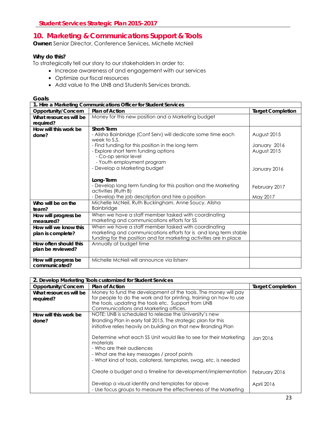### <span id="page-23-0"></span>**10. Marketing & Communications Support & Tools**

**Owner:** Senior Director, Conference Services, Michelle McNeil

#### **Why do this?**

To strategically tell our story to our stakeholders in order to:

- Increase awareness of and engagement with our services
- Optimize our fiscal resources
- Add value to the UNB and Students Services brands.

| 1. Hire a Marketing Communications Officer for Student Services |                                                                    |                          |
|-----------------------------------------------------------------|--------------------------------------------------------------------|--------------------------|
| Opportunity/Concern                                             | Plan of Action                                                     | <b>Target Completion</b> |
| What resources will be                                          | Money for this new position and a Marketing budget                 |                          |
| required?                                                       |                                                                    |                          |
| How will this work be                                           | Short-Term                                                         |                          |
| done?                                                           | - Alisha Bainbridge (Conf Serv) will dedicate some time each       | August 2015              |
|                                                                 | week to S.S.                                                       |                          |
|                                                                 | - Find funding for this position in the long term                  | January 2016             |
|                                                                 | - Explore short term funding options                               | August 2015              |
|                                                                 | - Co-op senior level                                               |                          |
|                                                                 | - Youth employment program                                         |                          |
|                                                                 | - Develop a Marketing budget                                       | January 2016             |
|                                                                 |                                                                    |                          |
|                                                                 | Long-Term                                                          |                          |
|                                                                 | - Develop long term funding for this position and the Marketing    | February 2017            |
|                                                                 | activities (Ruth B)                                                |                          |
|                                                                 | - Develop the job description and hire a position                  | May 2017                 |
| Who will be on the                                              | Michelle McNeil, Ruth Buckingham, Anne Soucy, Alisha               |                          |
| team?                                                           | <b>Bainbridge</b>                                                  |                          |
| How will progress be                                            | When we have a staff member tasked with coordinating               |                          |
| measured?                                                       | marketing and communications efforts for SS                        |                          |
| How will we know this                                           | When we have a staff member tasked with coordinating               |                          |
| plan is complete?                                               | marketing and communications efforts for is and long term stable   |                          |
|                                                                 | funding for the position and for marketing activities are in place |                          |
| How often should this                                           | Annually at budget time                                            |                          |
| plan be reviewed?                                               |                                                                    |                          |
| How will progress be                                            | Michelle McNeil will announce via listserv                         |                          |
| communicated?                                                   |                                                                    |                          |

| 2. Develop Marketing Tools customized for Student Services |                                                                    |                          |
|------------------------------------------------------------|--------------------------------------------------------------------|--------------------------|
| Opportunity/Concern                                        | <b>Plan of Action</b>                                              | <b>Target Completion</b> |
| What resources will be                                     | Money to fund the development of the tools. The money will pay     |                          |
| required?                                                  | for people to do the work and for printing, training on how to use |                          |
|                                                            | the tools, updating the tools etc. Support from UNB                |                          |
|                                                            | Communications and Marketing offices.                              |                          |
| How will this work be                                      | NOTE: UNB is scheduled to release the University's new             |                          |
| done?                                                      | Branding Plan in early fall 2015. The strategic plan for this      |                          |
|                                                            | initiative relies heavily on building on that new Branding Plan    |                          |
|                                                            |                                                                    |                          |
|                                                            | Determine what each SS Unit would like to see for their Marketing  | Jan 2016                 |
|                                                            | materials                                                          |                          |
|                                                            | - Who are their audiences                                          |                          |
|                                                            | - What are the key messages / proof points                         |                          |
|                                                            | - What kind of tools, collateral, templates, swag, etc. is needed  |                          |
|                                                            |                                                                    |                          |
|                                                            | Create a budget and a timeline for development/implementation      | February 2016            |
|                                                            |                                                                    |                          |
|                                                            | Develop a visual identity and templates for above                  | April 2016               |
|                                                            | - Use focus groups to measure the effectiveness of the Marketing   |                          |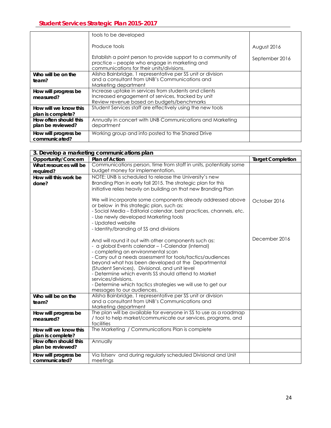|                                            | tools to be developed                                                                                                                                       |                |
|--------------------------------------------|-------------------------------------------------------------------------------------------------------------------------------------------------------------|----------------|
|                                            | Produce tools                                                                                                                                               | August 2016    |
|                                            | Establish a point person to provide support to a community of<br>practice – people who engage in marketing and<br>communications for their units/divisions. | September 2016 |
| Who will be on the<br>team?                | Alisha Bainbridge, 1 representative per SS unit or division<br>and a consultant from UNB's Communications and<br>Marketing department                       |                |
| How will progress be<br>measured?          | Increase uptake in services from students and clients<br>Increased engagement of services, tracked by unit<br>Review revenue based on budgets/benchmarks    |                |
| How will we know this<br>plan is complete? | Student Services staff are effectively using the new tools                                                                                                  |                |
| How often should this<br>plan be reviewed? | Annually in concert with UNB Communications and Marketing<br>department                                                                                     |                |
| How will progress be<br>communicated?      | Working group and info posted to the Shared Drive                                                                                                           |                |

|                                            | 3. Develop a marketing communications plan                                                                                                                                                                                                                                                                                                                                                                                                                                                        |                          |
|--------------------------------------------|---------------------------------------------------------------------------------------------------------------------------------------------------------------------------------------------------------------------------------------------------------------------------------------------------------------------------------------------------------------------------------------------------------------------------------------------------------------------------------------------------|--------------------------|
| Opportunity/Concern                        | <b>Plan of Action</b>                                                                                                                                                                                                                                                                                                                                                                                                                                                                             | <b>Target Completion</b> |
| What resources will be                     | Communications person, time from staff in units, potentially some                                                                                                                                                                                                                                                                                                                                                                                                                                 |                          |
| required?                                  | budget money for implementation.                                                                                                                                                                                                                                                                                                                                                                                                                                                                  |                          |
| How will this work be                      | NOTE: UNB is scheduled to release the University's new                                                                                                                                                                                                                                                                                                                                                                                                                                            |                          |
| done?                                      | Branding Plan in early fall 2015. The strategic plan for this                                                                                                                                                                                                                                                                                                                                                                                                                                     |                          |
|                                            | initiative relies heavily on building on that new Branding Plan                                                                                                                                                                                                                                                                                                                                                                                                                                   |                          |
|                                            | We will incorporate some components already addressed above<br>or below in this strategic plan, such as:<br>- Social Media - Editorial calendar, best practices, channels, etc.<br>- Use newly developed Marketing tools<br>- Updated website<br>- Identity/branding of SS and divisions                                                                                                                                                                                                          | October 2016             |
|                                            | And will round it out with other components such as:<br>- a global Events calendar - 1-Calendar (internal)<br>- completing an environmental scan<br>- Carry out a needs assessment for tools/tactics/audiences<br>beyond what has been developed at the Departmental<br>(Student Services), Divisional, and unit level<br>- Determine which events SS should attend to Market<br>services/divisions.<br>- Determine which tactics strategies we will use to get our<br>messages to our audiences. | December 2016            |
| Who will be on the                         | Alisha Bainbridge, 1 representative per SS unit or division                                                                                                                                                                                                                                                                                                                                                                                                                                       |                          |
| team?                                      | and a consultant from UNB's Communications and                                                                                                                                                                                                                                                                                                                                                                                                                                                    |                          |
|                                            | Marketing department                                                                                                                                                                                                                                                                                                                                                                                                                                                                              |                          |
| How will progress be                       | The plan will be available for everyone in SS to use as a roadmap                                                                                                                                                                                                                                                                                                                                                                                                                                 |                          |
| measured?                                  | / tool to help market/communicate our services, programs, and<br>facilities                                                                                                                                                                                                                                                                                                                                                                                                                       |                          |
| How will we know this                      | The Marketing / Communications Plan is complete                                                                                                                                                                                                                                                                                                                                                                                                                                                   |                          |
| plan is complete?                          |                                                                                                                                                                                                                                                                                                                                                                                                                                                                                                   |                          |
| How often should this<br>plan be reviewed? | Annually                                                                                                                                                                                                                                                                                                                                                                                                                                                                                          |                          |
| How will progress be                       | Via listserv and during regularly scheduled Divisional and Unit                                                                                                                                                                                                                                                                                                                                                                                                                                   |                          |
| communicated?                              | meetings                                                                                                                                                                                                                                                                                                                                                                                                                                                                                          |                          |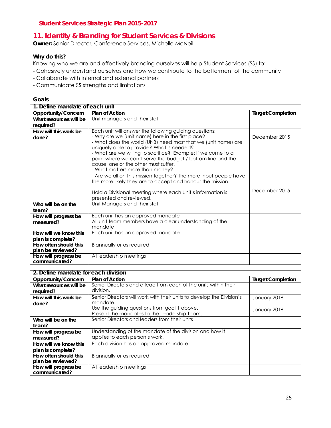### <span id="page-25-0"></span>**11. Identity & Branding for Student Services & Divisions**

**Owner:** Senior Director, Conference Services, Michelle McNeil

#### **Why do this?**

Knowing who we are and effectively branding ourselves will help Student Services (SS) to:

- Cohesively understand ourselves and how we contribute to the betterment of the community
- Collaborate with internal and external partners
- Communicate SS strengths and limitations

| 1. Define mandate of each unit        |                                                                                                                                                                                                                                                                                                                                                                                                                                     |                          |
|---------------------------------------|-------------------------------------------------------------------------------------------------------------------------------------------------------------------------------------------------------------------------------------------------------------------------------------------------------------------------------------------------------------------------------------------------------------------------------------|--------------------------|
| Opportunity/Concern                   | <b>Plan of Action</b>                                                                                                                                                                                                                                                                                                                                                                                                               | <b>Target Completion</b> |
| What resources will be                | Unit managers and their staff                                                                                                                                                                                                                                                                                                                                                                                                       |                          |
| required?                             |                                                                                                                                                                                                                                                                                                                                                                                                                                     |                          |
| How will this work be<br>done?        | Each unit will answer the following guiding questions:<br>- Why are we (unit name) here in the first place?<br>- What does the world (UNB) need most that we (unit name) are<br>uniquely able to provide? What is needed?<br>- What are we willing to sacrifice? Example: If we come to a<br>point where we can't serve the budget / bottom line and the<br>cause, one or the other must suffer.<br>- What matters more than money? | December 2015            |
|                                       | - Are we all on this mission together? The more input people have<br>the more likely they are to accept and honour the mission.                                                                                                                                                                                                                                                                                                     |                          |
|                                       | Hold a Divisional meeting where each Unit's information is<br>presented and reviewed.                                                                                                                                                                                                                                                                                                                                               | December 2015            |
| Who will be on the<br>team?           | Unit Managers and their staff                                                                                                                                                                                                                                                                                                                                                                                                       |                          |
| How will progress be<br>measured?     | Each unit has an approved mandate<br>All unit team members have a clear understanding of the<br>mandate                                                                                                                                                                                                                                                                                                                             |                          |
| How will we know this                 | Each unit has an approved mandate                                                                                                                                                                                                                                                                                                                                                                                                   |                          |
| plan is complete?                     |                                                                                                                                                                                                                                                                                                                                                                                                                                     |                          |
| How often should this                 | Biannually or as required                                                                                                                                                                                                                                                                                                                                                                                                           |                          |
| plan be reviewed?                     |                                                                                                                                                                                                                                                                                                                                                                                                                                     |                          |
| How will progress be<br>communicated? | At leadership meetings                                                                                                                                                                                                                                                                                                                                                                                                              |                          |

| 2. Define mandate for each division |                                                                       |                          |
|-------------------------------------|-----------------------------------------------------------------------|--------------------------|
| Opportunity/Concern                 | <b>Plan of Action</b>                                                 | <b>Target Completion</b> |
| What resources will be              | Senior Directors and a lead from each of the units within their       |                          |
| required?                           | division.                                                             |                          |
| How will this work be               | Senior Directors will work with their units to develop the Division's | January 2016             |
| done?                               | mandate.                                                              |                          |
|                                     | Use the guiding questions from goal 1 above.                          | January 2016             |
|                                     | Present the mandates to the Leadership Team.                          |                          |
| Who will be on the                  | Senior Directors and leaders from their units                         |                          |
| team?                               |                                                                       |                          |
| How will progress be                | Understanding of the mandate of the division and how it               |                          |
| measured?                           | applies to each person's work.                                        |                          |
| How will we know this               | Each division has an approved mandate                                 |                          |
| plan is complete?                   |                                                                       |                          |
| How often should this               | Biannually or as required                                             |                          |
| plan be reviewed?                   |                                                                       |                          |
| How will progress be                | At leadership meetings                                                |                          |
| communicated?                       |                                                                       |                          |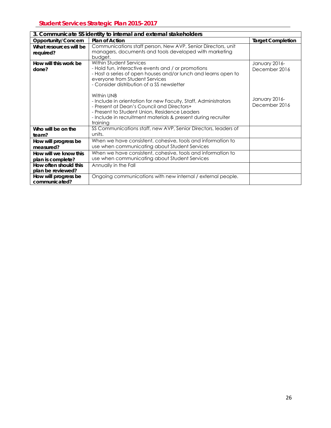| 3. Communicate SS identity to internal and external stakeholders |                                                                                                                                                                                                                                                           |                                |
|------------------------------------------------------------------|-----------------------------------------------------------------------------------------------------------------------------------------------------------------------------------------------------------------------------------------------------------|--------------------------------|
| Opportunity/Concern                                              | <b>Plan of Action</b>                                                                                                                                                                                                                                     | <b>Target Completion</b>       |
| What resources will be<br>required?                              | Communications staff person, New AVP, Senior Directors, unit<br>managers, documents and tools developed with marketing<br>budget.                                                                                                                         |                                |
| How will this work be<br>done?                                   | Within Student Services<br>- Hold fun, interactive events and / or promotions<br>- Host a series of open houses and/or lunch and learns open to<br>everyone from Student Services<br>- Consider distribution of a SS newsletter                           | January 2016-<br>December 2016 |
|                                                                  | Within UNB<br>- Include in orientation for new Faculty, Staff, Administrators<br>- Present at Dean's Council and Directors+<br>- Present to Student Union, Residence Leaders<br>- Include in recruitment materials & present during recruiter<br>training | January 2016-<br>December 2016 |
| Who will be on the<br>team?                                      | SS Communications staff, new AVP, Senior Directors, leaders of<br>units.                                                                                                                                                                                  |                                |
| How will progress be<br>measured?                                | When we have consistent, cohesive, tools and information to<br>use when communicating about Student Services                                                                                                                                              |                                |
| How will we know this<br>plan is complete?                       | When we have consistent, cohesive, tools and information to<br>use when communicating about Student Services                                                                                                                                              |                                |
| How often should this<br>plan be reviewed?                       | Annually in the Fall                                                                                                                                                                                                                                      |                                |
| How will progress be<br>communicated?                            | Ongoing communications with new internal / external people.                                                                                                                                                                                               |                                |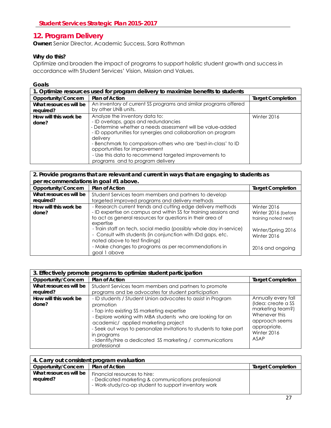### <span id="page-27-0"></span>**12. Program Delivery**

**Owner:** Senior Director, Academic Success, Sara Rothman

#### **Why do this?**

Optimize and broaden the impact of programs to support holistic student growth and success in accordance with Student Services' Vision, Mission and Values.

#### **Goals**

| 1. Optimize resources used for program delivery to maximize benefits to students |                                                                                                                                                                                                                                                                                                                                                                                                                   |                          |
|----------------------------------------------------------------------------------|-------------------------------------------------------------------------------------------------------------------------------------------------------------------------------------------------------------------------------------------------------------------------------------------------------------------------------------------------------------------------------------------------------------------|--------------------------|
| Opportunity/Concern                                                              | <b>Plan of Action</b>                                                                                                                                                                                                                                                                                                                                                                                             | <b>Target Completion</b> |
| What resources will be<br>required?                                              | An inventory of current SS programs and similar programs offered<br>by other UNB units.                                                                                                                                                                                                                                                                                                                           |                          |
| How will this work be<br>done?                                                   | Analyze the inventory data to:<br>- ID overlaps, gaps and redundancies<br>- Determine whether a needs assessment will be value-added<br>- ID opportunities for synergies and collaboration on program<br>delivery<br>- Benchmark to comparison-others who are 'best-in-class' to ID<br>opportunities for improvement<br>- Use this data to recommend targeted improvements to<br>programs and to program delivery | Winter 2016              |

#### **2. Provide programs that are relevant and current in ways that are engaging to students as per recommendations in goal #1 above.**

| pc. recommendations in goal $\pi$ , above. |                                                                                                                                                                     |                                             |
|--------------------------------------------|---------------------------------------------------------------------------------------------------------------------------------------------------------------------|---------------------------------------------|
| Opportunity/Concern                        | Plan of Action                                                                                                                                                      | <b>Target Completion</b>                    |
| What resources will be                     | Student Services team members and partners to develop                                                                                                               |                                             |
| required?                                  | targeted improved programs and delivery methods                                                                                                                     |                                             |
| How will this work be                      | - Research current trends and cutting edge delivery methods                                                                                                         | Winter 2016                                 |
| done?                                      | - ID expertise on campus and within SS for training sessions and<br>to act as general resources for questions in their area of<br>expertise                         | Winter 2016 (before<br>training noted next) |
|                                            | - Train staff on tech, social media (possibly whole day in-service)<br>- Consult with students (in conjunction with IDd gaps, etc.<br>noted above to test findings) | Winter/Spring 2016<br>Winter 2016           |
|                                            | - Make changes to programs as per recommendations in<br>goal 1 above                                                                                                | 2016 and ongoing                            |

| 3. Effectively promote programs to optimize student participation |                                                                                                                                                                                                                                                                                                                                                                                                 |                                                                                                                                         |
|-------------------------------------------------------------------|-------------------------------------------------------------------------------------------------------------------------------------------------------------------------------------------------------------------------------------------------------------------------------------------------------------------------------------------------------------------------------------------------|-----------------------------------------------------------------------------------------------------------------------------------------|
| Opportunity/Concern                                               | <b>Plan of Action</b>                                                                                                                                                                                                                                                                                                                                                                           | <b>Target Completion</b>                                                                                                                |
| What resources will be<br>required?                               | Student Services team members and partners to promote<br>programs and be advocates for student participation                                                                                                                                                                                                                                                                                    |                                                                                                                                         |
| How will this work be<br>done?                                    | - ID students / Student Union advocates to assist in Program<br>promotion<br>- Tap into existing SS marketing expertise<br>- Explore working with MBA students who are looking for an<br>academic/ applied marketing project<br>- Seek out ways to personalize invitations to students to take part<br>in programs<br>- Identify/hire a dedicated SS marketing / communications<br>professional | Annually every fall<br>(Idea: create a SS<br>marketing team?)<br>Whenever this<br>approach seems<br>appropriate.<br>Winter 2016<br>ASAP |

| 4. Carry out consistent program evaluation |                                                                                                                                             |                          |
|--------------------------------------------|---------------------------------------------------------------------------------------------------------------------------------------------|--------------------------|
| Opportunity/Concern                        | <b>Plan of Action</b>                                                                                                                       | <b>Target Completion</b> |
| What resources will be<br>required?        | Financial resources to hire:<br>- Dedicated marketing & communications professional<br>- Work-study/co-op student to support inventory work |                          |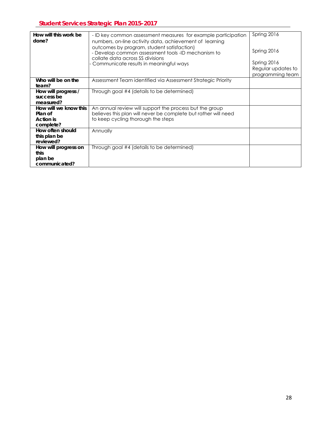| How will this work be |                                                                                                                                      | Spring 2016                                           |
|-----------------------|--------------------------------------------------------------------------------------------------------------------------------------|-------------------------------------------------------|
|                       | - ID key common assessment measures for example participation                                                                        |                                                       |
| done?                 | numbers, on-line activity data, achievement of learning                                                                              |                                                       |
|                       | outcomes by program, student satisfaction)<br>- Develop common assessment tools -ID mechanism to<br>collate data across SS divisions | Spring 2016                                           |
|                       | Communicate results in meaningful ways                                                                                               | Spring 2016<br>Regular updates to<br>programming team |
| Who will be on the    | Assessment Team identified via Assessment Strategic Priority                                                                         |                                                       |
| team?                 |                                                                                                                                      |                                                       |
| How will progress /   | Through goal #4 (details to be determined)                                                                                           |                                                       |
| success be            |                                                                                                                                      |                                                       |
| measured?             |                                                                                                                                      |                                                       |
| How will we know this | An annual review will support the process but the group                                                                              |                                                       |
| Plan of               | believes this plan will never be complete but rather will need                                                                       |                                                       |
| Action is             | to keep cycling thorough the steps                                                                                                   |                                                       |
| complete?             |                                                                                                                                      |                                                       |
| How often should      | Annually                                                                                                                             |                                                       |
| this plan be          |                                                                                                                                      |                                                       |
| reviewed?             |                                                                                                                                      |                                                       |
| How will progress on  | Through goal #4 (details to be determined)                                                                                           |                                                       |
| this                  |                                                                                                                                      |                                                       |
| plan be               |                                                                                                                                      |                                                       |
| communicated?         |                                                                                                                                      |                                                       |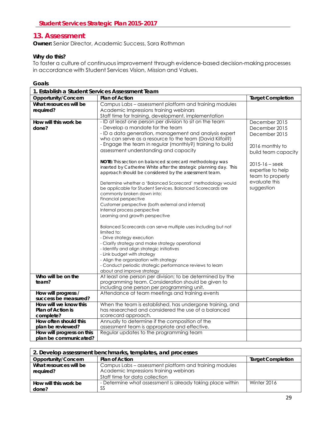### <span id="page-29-0"></span>**13. Assessment**

**Owner:** Senior Director, Academic Success, Sara Rothman

#### **Why do this?**

To foster a culture of continuous improvement through evidence-based decision-making processes in accordance with Student Services Vision, Mission and Values.

| 1. Establish a Student Services Assessment Team |                                                                                               |                          |
|-------------------------------------------------|-----------------------------------------------------------------------------------------------|--------------------------|
| Opportunity/Concern                             | <b>Plan of Action</b>                                                                         | <b>Target Completion</b> |
| What resources will be                          | Campus Labs - assessment platform and training modules                                        |                          |
| required?                                       | Academic Impressions training webinars                                                        |                          |
|                                                 | Staff time for training, development, implementation                                          |                          |
| How will this work be                           | - ID at least one person per division to sit on the team                                      | December 2015            |
| done?                                           | - Develop a mandate for the team                                                              | December 2015            |
|                                                 | - ID a data generation, management and analysis expert                                        | December 2015            |
|                                                 | who can serve as a resource to the team (David Kilfoil?)                                      |                          |
|                                                 | - Engage the team in regular (monthly?) training to build                                     | 2016 monthly to          |
|                                                 | assessment understanding and capacity                                                         | build team capacity      |
|                                                 |                                                                                               |                          |
|                                                 | <b>NOTE:</b> This section on balanced scorecard methodology was                               | $2015 - 16 - seek$       |
|                                                 | inserted by Catherine White after the strategic planning day. This                            | expertise to help        |
|                                                 | approach should be considered by the assessment team.                                         | team to properly         |
|                                                 | Determine whether a 'Balanced Scorecard' methodology would                                    | evaluate this            |
|                                                 | be applicable for Student Services. Balanced Scorecards are                                   | suggestion               |
|                                                 | commonly broken down into:                                                                    |                          |
|                                                 | Financial perspective                                                                         |                          |
|                                                 | Customer perspective (both external and internal)                                             |                          |
|                                                 | Internal process perspective                                                                  |                          |
|                                                 | Learning and growth perspective                                                               |                          |
|                                                 |                                                                                               |                          |
|                                                 | Balanced Scorecards can serve multiple uses including but not                                 |                          |
|                                                 | limited to:                                                                                   |                          |
|                                                 | - Drive strategy execution                                                                    |                          |
|                                                 | - Clarify strategy and make strategy operational                                              |                          |
|                                                 | - Identify and align strategic initiatives                                                    |                          |
|                                                 | - Link budget with strategy                                                                   |                          |
|                                                 | - Align the organization with strategy                                                        |                          |
|                                                 | - Conduct periodic strategic performance reviews to learn                                     |                          |
|                                                 | about and improve strategy                                                                    |                          |
| Who will be on the                              | At least one person per division; to be determined by the                                     |                          |
| team?                                           | programming team. Consideration should be given to                                            |                          |
|                                                 | including one person per programming unit.<br>Attendance at team meetings and training events |                          |
| How will progress /<br>success be measured?     |                                                                                               |                          |
| How will we know this                           | When the team is established, has undergone training, and                                     |                          |
| <b>Plan of Action is</b>                        | has researched and considered the use of a balanced                                           |                          |
| complete?                                       | scorecard approach.                                                                           |                          |
| How often should this                           | Annually to determine if the composition of the                                               |                          |
| plan be reviewed?                               | assessment team is appropriate and effective.                                                 |                          |
| How will progress on this                       | Regular updates to the programming team                                                       |                          |
| plan be communicated?                           |                                                                                               |                          |

| 2. Develop assessment benchmarks, templates, and processes |                                                                                                  |                          |
|------------------------------------------------------------|--------------------------------------------------------------------------------------------------|--------------------------|
| Opportunity/Concern                                        | <b>Plan of Action</b>                                                                            | <b>Target Completion</b> |
| What resources will be<br>required?                        | Campus Labs – assessment platform and training modules<br>Academic Impressions training webinars |                          |
|                                                            | Staff time for data collection                                                                   |                          |
| How will this work be<br>done?                             | - Determine what assessment is already taking place within<br>SS                                 | Winter 2016              |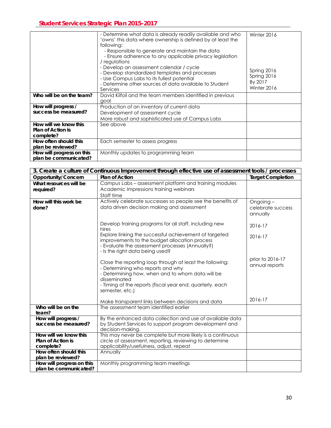|                           | - Determine what data is already readily available and who<br>'owns' this data where ownership is defined by at least the<br>following:<br>- Responsible to generate and maintain the data<br>- Ensure adherence to any applicable privacy legislation<br>/ regulations<br>- Develop an assessment calendar / cycle<br>- Develop standardized templates and processes<br>- Use Campus Labs to its fullest potential<br>- Determine other sources of data available to Student<br>Services | Winter 2016<br>Spring 2016<br>Spring 2016<br>By 2017<br>Winter 2016 |
|---------------------------|-------------------------------------------------------------------------------------------------------------------------------------------------------------------------------------------------------------------------------------------------------------------------------------------------------------------------------------------------------------------------------------------------------------------------------------------------------------------------------------------|---------------------------------------------------------------------|
| Who will be on the team?  | David Kilfoil and the team members identified in previous                                                                                                                                                                                                                                                                                                                                                                                                                                 |                                                                     |
|                           | goal                                                                                                                                                                                                                                                                                                                                                                                                                                                                                      |                                                                     |
| How will progress /       | Production of an inventory of current data                                                                                                                                                                                                                                                                                                                                                                                                                                                |                                                                     |
| success be measured?      | Development of assessment cycle                                                                                                                                                                                                                                                                                                                                                                                                                                                           |                                                                     |
|                           | More robust and sophisticated use of Campus Labs                                                                                                                                                                                                                                                                                                                                                                                                                                          |                                                                     |
| How will we know this     | See above                                                                                                                                                                                                                                                                                                                                                                                                                                                                                 |                                                                     |
| Plan of Action is         |                                                                                                                                                                                                                                                                                                                                                                                                                                                                                           |                                                                     |
| complete?                 |                                                                                                                                                                                                                                                                                                                                                                                                                                                                                           |                                                                     |
| How often should this     | Each semester to assess progress                                                                                                                                                                                                                                                                                                                                                                                                                                                          |                                                                     |
| plan be reviewed?         |                                                                                                                                                                                                                                                                                                                                                                                                                                                                                           |                                                                     |
| How will progress on this | Monthly updates to programming team                                                                                                                                                                                                                                                                                                                                                                                                                                                       |                                                                     |
| plan be communicated?     |                                                                                                                                                                                                                                                                                                                                                                                                                                                                                           |                                                                     |

| 3. Create a culture of Continuous Improvement through effective use of assessment tools / processes |                                                                                                                                                                                                                                                   |                                           |
|-----------------------------------------------------------------------------------------------------|---------------------------------------------------------------------------------------------------------------------------------------------------------------------------------------------------------------------------------------------------|-------------------------------------------|
| Opportunity/Concern                                                                                 | Plan of Action                                                                                                                                                                                                                                    | <b>Target Completion</b>                  |
| What resources will be<br>required?                                                                 | Campus Labs - assessment platform and training modules<br>Academic Impressions training webinars<br>Staff time                                                                                                                                    |                                           |
| How will this work be<br>done?                                                                      | Actively celebrate successes so people see the benefits of<br>data driven decision making and assessment                                                                                                                                          | Ongoing-<br>celebrate success<br>annually |
|                                                                                                     | Develop training programs for all staff, including new<br>hires                                                                                                                                                                                   | 2016-17                                   |
|                                                                                                     | Explore linking the successful achievement of targeted<br>improvements to the budget allocation process<br>- Evaluate the assessment processes (Annually?)<br>- Is the right data being used?                                                     | 2016-17                                   |
|                                                                                                     | Close the reporting loop through at least the following:<br>- Determining who reports and why<br>- Determining how, when and to whom data will be<br>disseminated<br>- Timing of the reports (fiscal year end, quarterly, each<br>semester, etc.) | prior to 2016-17<br>annual reports        |
|                                                                                                     | Make transparent links between decisions and data                                                                                                                                                                                                 | $2016 - 17$                               |
| Who will be on the<br>team?                                                                         | The assessment team identified earlier                                                                                                                                                                                                            |                                           |
| How will progress /<br>success be measured?                                                         | By the enhanced data collection and use of available data<br>by Student Services to support program development and<br>decision-making.                                                                                                           |                                           |
| How will we know this<br><b>Plan of Action is</b><br>complete?                                      | This may never be complete but more likely is a continuous<br>circle of assessment, reporting, reviewing to determine<br>applicability/usefulness, adjust, repeat                                                                                 |                                           |
| How often should this<br>plan be reviewed?                                                          | Annually                                                                                                                                                                                                                                          |                                           |
| How will progress on this<br>plan be communicated?                                                  | Monthly programming team meetings                                                                                                                                                                                                                 |                                           |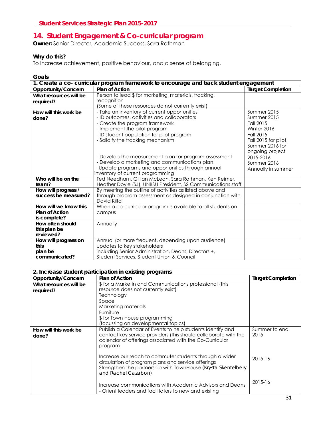### <span id="page-31-0"></span>**14. Student Engagement & Co-curricular program**

**Owner:** Senior Director, Academic Success, Sara Rothman

#### **Why do this?**

To increase achievement, positive behaviour, and a sense of belonging.

| 1. Create a co- curricular program framework to encourage and track student engagement |                                                                                                                                                                                                                                                                                                                                                                                                                  |                                                                                                                                                                                     |
|----------------------------------------------------------------------------------------|------------------------------------------------------------------------------------------------------------------------------------------------------------------------------------------------------------------------------------------------------------------------------------------------------------------------------------------------------------------------------------------------------------------|-------------------------------------------------------------------------------------------------------------------------------------------------------------------------------------|
| Opportunity/Concern                                                                    | <b>Plan of Action</b>                                                                                                                                                                                                                                                                                                                                                                                            | <b>Target Completion</b>                                                                                                                                                            |
| What resources will be                                                                 | Person to lead \$ for marketing, materials, tracking,                                                                                                                                                                                                                                                                                                                                                            |                                                                                                                                                                                     |
| required?                                                                              | recognition<br>(Some of these resources do not currently exist)                                                                                                                                                                                                                                                                                                                                                  |                                                                                                                                                                                     |
| How will this work be<br>done?                                                         | - Take an inventory of current opportunities<br>- ID outcomes, activities and collaborators<br>- Create the program framework<br>- Implement the pilot program<br>- ID student population for pilot program<br>- Solidify the tracking mechanism<br>- Develop the measurement plan for program assessment<br>- Develop a marketing and communications plan<br>- Update programs and opportunities through annual | Summer 2015<br>Summer 2015<br>Fall 2015<br>Winter 2016<br>Fall 2015<br>Fall 2015 for pilot,<br>Summer 2016 for<br>ongoing project<br>2015-2016<br>Summer 2016<br>Annually in summer |
| Who will be on the                                                                     | inventory of current programming<br>Ted Needham, Gillian McLean, Sara Rothman, Ken Reimer,                                                                                                                                                                                                                                                                                                                       |                                                                                                                                                                                     |
| team?                                                                                  | Heather Doyle (SJ), UNBSU President, SS Communications staff                                                                                                                                                                                                                                                                                                                                                     |                                                                                                                                                                                     |
| How will progress /                                                                    | By meeting the outline of activities as listed above and                                                                                                                                                                                                                                                                                                                                                         |                                                                                                                                                                                     |
| success be measured?                                                                   | through program assessment as designed in conjunction with<br>David Kilfoil                                                                                                                                                                                                                                                                                                                                      |                                                                                                                                                                                     |
| How will we know this                                                                  | When a co-curricular program is available to all students on                                                                                                                                                                                                                                                                                                                                                     |                                                                                                                                                                                     |
| Plan of Action                                                                         | campus                                                                                                                                                                                                                                                                                                                                                                                                           |                                                                                                                                                                                     |
| is complete?<br>How often should                                                       | Annually                                                                                                                                                                                                                                                                                                                                                                                                         |                                                                                                                                                                                     |
| this plan be                                                                           |                                                                                                                                                                                                                                                                                                                                                                                                                  |                                                                                                                                                                                     |
| reviewed?                                                                              |                                                                                                                                                                                                                                                                                                                                                                                                                  |                                                                                                                                                                                     |
| How will progress on                                                                   | Annual (or more frequent, depending upon audience)                                                                                                                                                                                                                                                                                                                                                               |                                                                                                                                                                                     |
| this                                                                                   | updates to key stakeholders                                                                                                                                                                                                                                                                                                                                                                                      |                                                                                                                                                                                     |
| plan be                                                                                | including Senior Administration, Deans, Directors +,                                                                                                                                                                                                                                                                                                                                                             |                                                                                                                                                                                     |
| communicated?                                                                          | Student Services, Student Union & Council                                                                                                                                                                                                                                                                                                                                                                        |                                                                                                                                                                                     |

| 2. Increase student participation in existing programs |                                                                                                                                                                                                       |                          |
|--------------------------------------------------------|-------------------------------------------------------------------------------------------------------------------------------------------------------------------------------------------------------|--------------------------|
| Opportunity/Concern                                    | <b>Plan of Action</b>                                                                                                                                                                                 | <b>Target Completion</b> |
| What resources will be                                 | \$ for a Marketin and Communications professional (this                                                                                                                                               |                          |
| required?                                              | resource does not currently exist)                                                                                                                                                                    |                          |
|                                                        | <b>Technology</b>                                                                                                                                                                                     |                          |
|                                                        | Space                                                                                                                                                                                                 |                          |
|                                                        | Marketing materials                                                                                                                                                                                   |                          |
|                                                        | Furniture                                                                                                                                                                                             |                          |
|                                                        | \$ for Town House programming                                                                                                                                                                         |                          |
|                                                        | (focussing on developmental topics)                                                                                                                                                                   |                          |
| How will this work be<br>done?                         | Publish a Calendar of Events to help students identify and<br>contact key service providers (this should collaborate with the<br>calendar of offerings associated with the Co-Curricular<br>program   | Summer to end<br>2015    |
|                                                        | Increase our reach to commuter students through a wider<br>circulation of program plans and service offerings<br>Strengthen the partnership with TownHouse (Krysta Skentelbery<br>and Rachel Cazabon) | 2015-16                  |
|                                                        | Increase communications with Academic Advisors and Deans<br>- Orient leaders and facilitators to new and existing                                                                                     | 2015-16                  |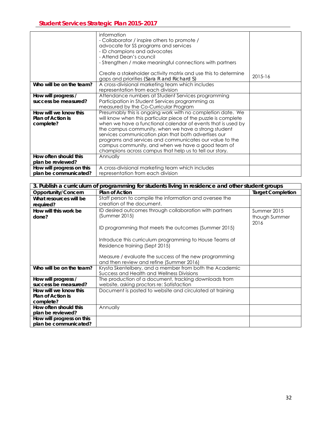|                           | information<br>- Collaborator / inspire others to promote /<br>advocate for SS programs and services<br>- ID champions and advocates<br>- Attend Dean's council |         |
|---------------------------|-----------------------------------------------------------------------------------------------------------------------------------------------------------------|---------|
|                           | - Strengthen / make meaningful connections with partners                                                                                                        |         |
|                           | Create a stakeholder activity matrix and use this to determine<br>gaps and priorities (Sara R and Richard S)                                                    | 2015-16 |
| Who will be on the team?  | A cross-divisional marketing team which includes<br>representation from each division                                                                           |         |
| How will progress /       | Attendance numbers at Student Services programming                                                                                                              |         |
| success be measured?      | Participation in Student Services programming as                                                                                                                |         |
|                           | measured by the Co-Curricular Program                                                                                                                           |         |
| How will we know this     | Presumably this is ongoing work with no completion date. We                                                                                                     |         |
| <b>Plan of Action is</b>  | will know when this particular piece of the puzzle is complete                                                                                                  |         |
| complete?                 | when we have a functional calendar of events that is used by                                                                                                    |         |
|                           | the campus community, when we have a strong student                                                                                                             |         |
|                           | services communication plan that both advertises our                                                                                                            |         |
|                           | programs and services and communicates our value to the                                                                                                         |         |
|                           | campus community, and when we have a good team of                                                                                                               |         |
|                           | champions across campus that help us to tell our story.                                                                                                         |         |
| How often should this     | Annually                                                                                                                                                        |         |
| plan be reviewed?         |                                                                                                                                                                 |         |
| How will progress on this | A cross-divisional marketing team which includes                                                                                                                |         |
| plan be communicated?     | representation from each division                                                                                                                               |         |

| 3. Publish a curriculum of programming for students living in residence and other student groups |                                                                                                      |                          |
|--------------------------------------------------------------------------------------------------|------------------------------------------------------------------------------------------------------|--------------------------|
| Opportunity/Concern                                                                              | <b>Plan of Action</b>                                                                                | <b>Target Completion</b> |
| What resources will be                                                                           | Staff person to compile the information and oversee the                                              |                          |
| required?                                                                                        | creation of the document.                                                                            |                          |
| How will this work be                                                                            | ID desired outcomes through collaboration with partners                                              | Summer 2015              |
| done?                                                                                            | (Summer 2015)                                                                                        | though Summer            |
|                                                                                                  | ID programming that meets the outcomes (Summer 2015)                                                 | 2016                     |
|                                                                                                  | Introduce this curriculum programming to House Teams at                                              |                          |
|                                                                                                  | Residence training (Sept 2015)                                                                       |                          |
|                                                                                                  | Measure / evaluate the success of the new programming<br>and then review and refine (Summer 2016)    |                          |
| Who will be on the team?                                                                         | Krysta Skentelbery, and a member from both the Academic<br>Success and Health and Wellness Divisions |                          |
| How will progress /                                                                              | The production of a document, tracking downloads from                                                |                          |
| success be measured?                                                                             | website, asking proctors re: Satisfaction                                                            |                          |
| How will we know this                                                                            | Document is posted to website and circulated at training                                             |                          |
| <b>Plan of Action is</b>                                                                         |                                                                                                      |                          |
| complete?                                                                                        |                                                                                                      |                          |
| How often should this                                                                            | Annually                                                                                             |                          |
| plan be reviewed?                                                                                |                                                                                                      |                          |
| How will progress on this                                                                        |                                                                                                      |                          |
| plan be communicated?                                                                            |                                                                                                      |                          |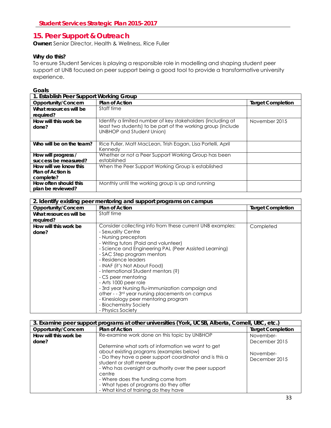### <span id="page-33-0"></span>**15. Peer Support & Outreach**

**Owner:** Senior Director, Health & Wellness, Rice Fuller

#### **Why do this?**

To ensure Student Services is playing a responsible role in modelling and shaping student peer support at UNB focused on peer support being a good tool to provide a transformative university experience.

| 1. Establish Peer Support Working Group                 |                                                                                                                                                                 |                          |
|---------------------------------------------------------|-----------------------------------------------------------------------------------------------------------------------------------------------------------------|--------------------------|
| Opportunity/Concern                                     | <b>Plan of Action</b>                                                                                                                                           | <b>Target Completion</b> |
| What resources will be                                  | Staff time                                                                                                                                                      |                          |
| required?                                               |                                                                                                                                                                 |                          |
| How will this work be<br>done?                          | Identify a limited number of key stakeholders (including at<br>least two students) to be part of the working group (include<br><b>UNBHOP and Student Union)</b> | November 2015            |
|                                                         |                                                                                                                                                                 |                          |
| Who will be on the team?                                | Rice Fuller, Matt MacLean, Trish Eagan, Lisa Portelli, April<br>Kennedy                                                                                         |                          |
| How will progress /<br>success be measured?             | Whether or not a Peer Support Working Group has been<br>established                                                                                             |                          |
| How will we know this<br>Plan of Action is<br>complete? | When the Peer Support Working Group is established                                                                                                              |                          |
| How often should this<br>plan be reviewed?              | Monthly until the working group is up and running                                                                                                               |                          |

| 2. Identify existing peer mentoring and support programs on campus |                                                           |                          |
|--------------------------------------------------------------------|-----------------------------------------------------------|--------------------------|
| Opportunity/Concern                                                | <b>Plan of Action</b>                                     | <b>Target Completion</b> |
| What resources will be                                             | Staff time                                                |                          |
| required?                                                          |                                                           |                          |
| How will this work be                                              | Consider collecting info from these current UNB examples: | Completed                |
| done?                                                              | - Sexuality Centre                                        |                          |
|                                                                    | - Nursing preceptors                                      |                          |
|                                                                    | - Writing tutors (Paid and volunteer)                     |                          |
|                                                                    | - Science and Engineering PAL (Peer Assisted Learning)    |                          |
|                                                                    | - SAC Step program mentors                                |                          |
|                                                                    | - Residence leaders                                       |                          |
|                                                                    | - INAF (it's Not About Food)                              |                          |
|                                                                    | - International Student mentors (?)                       |                          |
|                                                                    | - CS peer mentoring                                       |                          |
|                                                                    | - Arts 1000 peer role                                     |                          |
|                                                                    | - 3rd year Nursing flu-immunization campaign and          |                          |
|                                                                    | other - - 3rd year nursing placements on campus           |                          |
|                                                                    | - Kinesiology peer mentoring program                      |                          |
|                                                                    | - Biochemistry Society                                    |                          |
|                                                                    | - Physics Society                                         |                          |

| 3. Examine peer support programs at other universities (York, UCSB, Alberta, Cornell, UBC, etc.) |                                                                                   |                          |
|--------------------------------------------------------------------------------------------------|-----------------------------------------------------------------------------------|--------------------------|
| Opportunity/Concern                                                                              | <b>Plan of Action</b>                                                             | <b>Target Completion</b> |
| How will this work be                                                                            | Re-examine work done on this topic by UNBHOP                                      | November-                |
| done?                                                                                            |                                                                                   | December 2015            |
|                                                                                                  | Determine what sorts of information we want to get                                |                          |
|                                                                                                  | about existing programs (examples below)                                          | November-                |
|                                                                                                  | - Do they have a peer support coordinator and is this a                           | December 2015            |
|                                                                                                  | student or staff member<br>- Who has oversight or authority over the peer support |                          |
|                                                                                                  | centre                                                                            |                          |
|                                                                                                  | - Where does the funding come from                                                |                          |
|                                                                                                  | - What types of programs do they offer                                            |                          |
|                                                                                                  | - What kind of training do they have                                              |                          |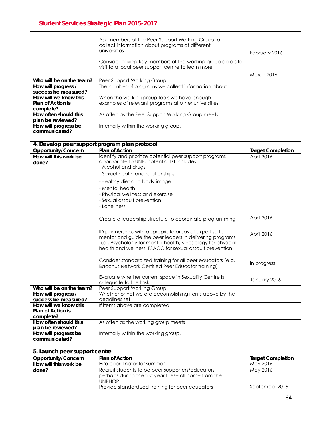|                                                         | Ask members of the Peer Support Working Group to<br>collect information about programs at different<br>universities<br>Consider having key members of the working group do a site<br>visit to a local peer support centre to learn more | February 2016     |
|---------------------------------------------------------|-----------------------------------------------------------------------------------------------------------------------------------------------------------------------------------------------------------------------------------------|-------------------|
|                                                         |                                                                                                                                                                                                                                         | <b>March 2016</b> |
| Who will be on the team?                                | Peer Support Working Group                                                                                                                                                                                                              |                   |
| How will progress /<br>success be measured?             | The number of programs we collect information about                                                                                                                                                                                     |                   |
| How will we know this<br>Plan of Action is<br>complete? | When the working group feels we have enough<br>examples of relevant programs at other universities                                                                                                                                      |                   |
| How often should this<br>plan be reviewed?              | As often as the Peer Support Working Group meets                                                                                                                                                                                        |                   |
| How will progress be<br>communicated?                   | Internally within the working group.                                                                                                                                                                                                    |                   |

| 4. Develop peer support program plan protocol |                                                                                                                                                                                                                                                 |                          |
|-----------------------------------------------|-------------------------------------------------------------------------------------------------------------------------------------------------------------------------------------------------------------------------------------------------|--------------------------|
| Opportunity/Concern                           | Plan of Action                                                                                                                                                                                                                                  | <b>Target Completion</b> |
| How will this work be<br>done?                | Identify and prioritize potential peer support programs<br>appropriate to UNB, potential list includes:<br>- Alcohol and drugs                                                                                                                  | April 2016               |
|                                               | - Sexual health and relationships                                                                                                                                                                                                               |                          |
|                                               | -Healthy diet and body image                                                                                                                                                                                                                    |                          |
|                                               | - Mental health                                                                                                                                                                                                                                 |                          |
|                                               | - Physical wellness and exercise                                                                                                                                                                                                                |                          |
|                                               | - Sexual assault prevention                                                                                                                                                                                                                     |                          |
|                                               | - Loneliness                                                                                                                                                                                                                                    |                          |
|                                               | Create a leadership structure to coordinate programming                                                                                                                                                                                         | April 2016               |
|                                               | ID partnerships with appropriate areas of expertise to<br>mentor and guide the peer leaders in delivering programs<br>(i.e., Psychology for mental health, Kinesiology for physical<br>health and wellness, FSACC for sexual assault prevention | April 2016               |
|                                               | Consider standardized training for all peer educators (e.g.<br><b>Bacchus Network Certified Peer Educator training)</b>                                                                                                                         | In progress              |
|                                               | Evaluate whether current space in Sexuality Centre is<br>adequate to the task                                                                                                                                                                   | January 2016             |
| Who will be on the team?                      | Peer Support Working Group                                                                                                                                                                                                                      |                          |
| How will progress /<br>success be measured?   | Whether or not we are accomplishing items above by the<br>deadlines set                                                                                                                                                                         |                          |
| How will we know this                         | If items above are completed                                                                                                                                                                                                                    |                          |
| <b>Plan of Action is</b>                      |                                                                                                                                                                                                                                                 |                          |
| complete?                                     |                                                                                                                                                                                                                                                 |                          |
| How often should this                         | As often as the working group meets                                                                                                                                                                                                             |                          |
| plan be reviewed?                             |                                                                                                                                                                                                                                                 |                          |
| How will progress be<br>communicated?         | Internally within the working group.                                                                                                                                                                                                            |                          |

| 5. Launch peer support centre |                                                                                                                             |                          |
|-------------------------------|-----------------------------------------------------------------------------------------------------------------------------|--------------------------|
| Opportunity/Concern           | <b>Plan of Action</b>                                                                                                       | <b>Target Completion</b> |
| How will this work be         | Hire coordinator for summer                                                                                                 | May 2016                 |
| done?                         | Recruit students to be peer supporters/educators,<br>perhaps during the first year these all come from the<br><b>UNBHOP</b> | May 2016                 |
|                               | Provide standardized training for peer educators                                                                            | September 2016           |